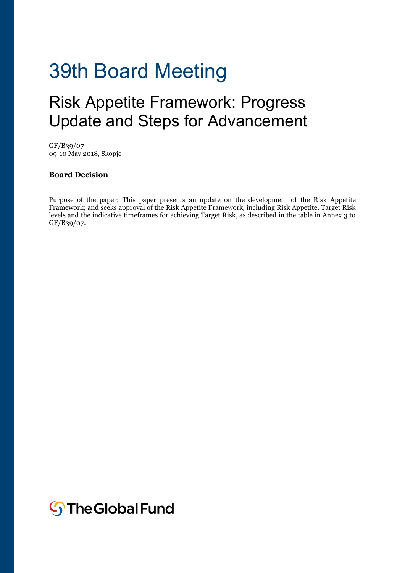# 39th Board Meeting

# Risk Appetite Framework: Progress Update and Steps for Advancement

GF/B39/07 09-10 May 2018, Skopje

#### **Board Decision**

Purpose of the paper: This paper presents an update on the development of the Risk Appetite Framework; and seeks approval of the Risk Appetite Framework, including Risk Appetite, Target Risk levels and the indicative timeframes for achieving Target Risk, as described in the table in Annex 3 to GF/B39/07.

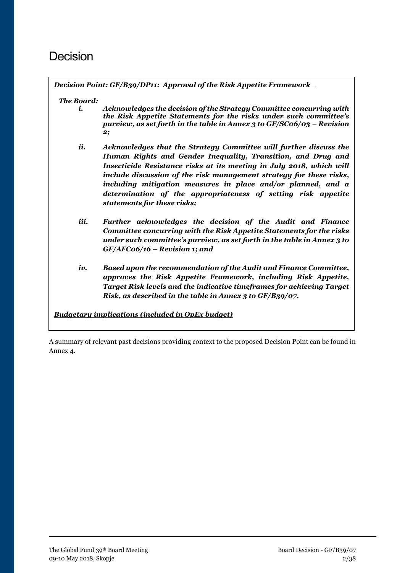# Decision

*Decision Point: GF/B39/DP11: Approval of the Risk Appetite Framework* 

#### *The Board:*

- *i. Acknowledges the decision of the Strategy Committee concurring with the Risk Appetite Statements for the risks under such committee's purview, as set forth in the table in Annex 3 to GF/SC06/03 – Revision 2;*
- *ii. Acknowledges that the Strategy Committee will further discuss the Human Rights and Gender Inequality, Transition, and Drug and Insecticide Resistance risks at its meeting in July 2018, which will include discussion of the risk management strategy for these risks, including mitigation measures in place and/or planned, and a determination of the appropriateness of setting risk appetite statements for these risks;*
- *iii. Further acknowledges the decision of the Audit and Finance Committee concurring with the Risk Appetite Statements for the risks under such committee's purview, as set forth in the table in Annex 3 to GF/AFC06/16 – Revision 1; and*
- *iv. Based upon the recommendation of the Audit and Finance Committee, approves the Risk Appetite Framework, including Risk Appetite, Target Risk levels and the indicative timeframes for achieving Target Risk, as described in the table in Annex 3 to GF/B39/07.*

*Budgetary implications (included in OpEx budget)*

A summary of relevant past decisions providing context to the proposed Decision Point can be found in Annex 4.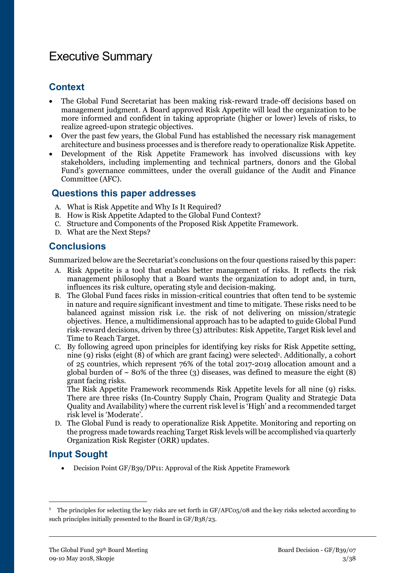# Executive Summary

#### **Context**

- The Global Fund Secretariat has been making risk-reward trade-off decisions based on management judgment. A Board approved Risk Appetite will lead the organization to be more informed and confident in taking appropriate (higher or lower) levels of risks, to realize agreed-upon strategic objectives.
- Over the past few years, the Global Fund has established the necessary risk management architecture and business processes and is therefore ready to operationalize Risk Appetite.
- Development of the Risk Appetite Framework has involved discussions with key stakeholders, including implementing and technical partners, donors and the Global Fund's governance committees, under the overall guidance of the Audit and Finance Committee (AFC).

#### **Questions this paper addresses**

- A. What is Risk Appetite and Why Is It Required?
- B. How is Risk Appetite Adapted to the Global Fund Context?
- C. Structure and Components of the Proposed Risk Appetite Framework.
- D. What are the Next Steps?

#### **Conclusions**

Summarized below are the Secretariat's conclusions on the four questions raised by this paper:

- A. Risk Appetite is a tool that enables better management of risks. It reflects the risk management philosophy that a Board wants the organization to adopt and, in turn, influences its risk culture, operating style and decision-making.
- B. The Global Fund faces risks in mission-critical countries that often tend to be systemic in nature and require significant investment and time to mitigate. These risks need to be balanced against mission risk i.e. the risk of not delivering on mission/strategic objectives. Hence, a multidimensional approach has to be adapted to guide Global Fund risk-reward decisions, driven by three (3) attributes: Risk Appetite, Target Risk level and Time to Reach Target.
- C. By following agreed upon principles for identifying key risks for Risk Appetite setting, nine (9) risks (eight (8) of which are grant facing) were selected<sup>1</sup>. Additionally, a cohort of 25 countries, which represent 76% of the total 2017-2019 allocation amount and a global burden of  $\sim$  80% of the three (3) diseases, was defined to measure the eight (8) grant facing risks.

The Risk Appetite Framework recommends Risk Appetite levels for all nine (9) risks. There are three risks (In-Country Supply Chain, Program Quality and Strategic Data Quality and Availability) where the current risk level is 'High' and a recommended target risk level is 'Moderate'.

D. The Global Fund is ready to operationalize Risk Appetite. Monitoring and reporting on the progress made towards reaching Target Risk levels will be accomplished via quarterly Organization Risk Register (ORR) updates.

#### **Input Sought**

**.** 

Decision Point GF/B39/DP11: Approval of the Risk Appetite Framework

<sup>&</sup>lt;sup>1</sup> The principles for selecting the key risks are set forth in GF/AFC05/08 and the key risks selected according to such principles initially presented to the Board in GF/B38/23.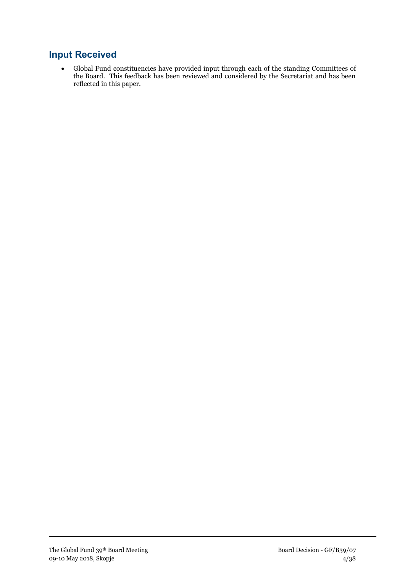#### **Input Received**

 Global Fund constituencies have provided input through each of the standing Committees of the Board. This feedback has been reviewed and considered by the Secretariat and has been reflected in this paper.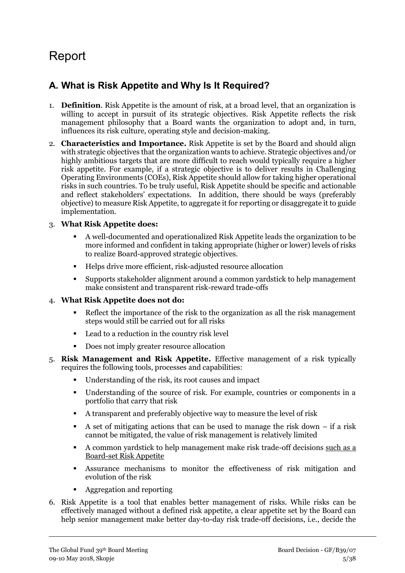# Report

## **A. What is Risk Appetite and Why Is It Required?**

- 1. **Definition**. Risk Appetite is the amount of risk, at a broad level, that an organization is willing to accept in pursuit of its strategic objectives. Risk Appetite reflects the risk management philosophy that a Board wants the organization to adopt and, in turn, influences its risk culture, operating style and decision-making.
- 2. **Characteristics and Importance.** Risk Appetite is set by the Board and should align with strategic objectives that the organization wants to achieve. Strategic objectives and/or highly ambitious targets that are more difficult to reach would typically require a higher risk appetite. For example, if a strategic objective is to deliver results in Challenging Operating Environments (COEs), Risk Appetite should allow for taking higher operational risks in such countries. To be truly useful, Risk Appetite should be specific and actionable and reflect stakeholders' expectations. In addition, there should be ways (preferably objective) to measure Risk Appetite, to aggregate it for reporting or disaggregate it to guide implementation.

#### 3. **What Risk Appetite does:**

- A well-documented and operationalized Risk Appetite leads the organization to be more informed and confident in taking appropriate (higher or lower) levels of risks to realize Board-approved strategic objectives.
- Helps drive more efficient, risk-adjusted resource allocation
- Supports stakeholder alignment around a common yardstick to help management make consistent and transparent risk-reward trade-offs

#### 4. **What Risk Appetite does not do:**

- Reflect the importance of the risk to the organization as all the risk management steps would still be carried out for all risks
- Lead to a reduction in the country risk level
- Does not imply greater resource allocation
- 5. **Risk Management and Risk Appetite.** Effective management of a risk typically requires the following tools, processes and capabilities:
	- Understanding of the risk, its root causes and impact
	- Understanding of the source of risk. For example, countries or components in a portfolio that carry that risk
	- A transparent and preferably objective way to measure the level of risk
	- A set of mitigating actions that can be used to manage the risk down  $-$  if a risk cannot be mitigated, the value of risk management is relatively limited
	- A common yardstick to help management make risk trade-off decisions such as a Board-set Risk Appetite
	- Assurance mechanisms to monitor the effectiveness of risk mitigation and evolution of the risk
	- Aggregation and reporting
- 6. Risk Appetite is a tool that enables better management of risks. While risks can be effectively managed without a defined risk appetite, a clear appetite set by the Board can help senior management make better day-to-day risk trade-off decisions, i.e., decide the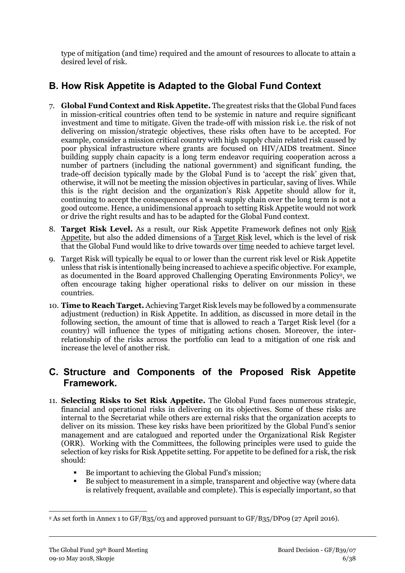type of mitigation (and time) required and the amount of resources to allocate to attain a desired level of risk.

## **B. How Risk Appetite is Adapted to the Global Fund Context**

- 7. **Global Fund Context and Risk Appetite.** The greatest risks that the Global Fund faces in mission-critical countries often tend to be systemic in nature and require significant investment and time to mitigate. Given the trade-off with mission risk i.e. the risk of not delivering on mission/strategic objectives, these risks often have to be accepted. For example, consider a mission critical country with high supply chain related risk caused by poor physical infrastructure where grants are focused on HIV/AIDS treatment. Since building supply chain capacity is a long term endeavor requiring cooperation across a number of partners (including the national government) and significant funding, the trade-off decision typically made by the Global Fund is to 'accept the risk' given that, otherwise, it will not be meeting the mission objectives in particular, saving of lives. While this is the right decision and the organization's Risk Appetite should allow for it, continuing to accept the consequences of a weak supply chain over the long term is not a good outcome. Hence, a unidimensional approach to setting Risk Appetite would not work or drive the right results and has to be adapted for the Global Fund context.
- 8. **Target Risk Level.** As a result, our Risk Appetite Framework defines not only Risk Appetite, but also the added dimensions of a Target Risk level, which is the level of risk that the Global Fund would like to drive towards over time needed to achieve target level.
- 9. Target Risk will typically be equal to or lower than the current risk level or Risk Appetite unless that risk is intentionally being increased to achieve a specific objective. For example, as documented in the Board approved Challenging Operating Environments Policy<sup>2</sup>, we often encourage taking higher operational risks to deliver on our mission in these countries.
- 10. **Time to Reach Target.** Achieving Target Risk levels may be followed by a commensurate adjustment (reduction) in Risk Appetite. In addition, as discussed in more detail in the following section, the amount of time that is allowed to reach a Target Risk level (for a country) will influence the types of mitigating actions chosen. Moreover, the interrelationship of the risks across the portfolio can lead to a mitigation of one risk and increase the level of another risk.

#### **C. Structure and Components of the Proposed Risk Appetite Framework.**

- 11. **Selecting Risks to Set Risk Appetite.** The Global Fund faces numerous strategic, financial and operational risks in delivering on its objectives. Some of these risks are internal to the Secretariat while others are external risks that the organization accepts to deliver on its mission. These key risks have been prioritized by the Global Fund's senior management and are catalogued and reported under the Organizational Risk Register (ORR). Working with the Committees, the following principles were used to guide the selection of key risks for Risk Appetite setting. For appetite to be defined for a risk, the risk should:
	- Be important to achieving the Global Fund's mission;
	- Be subject to measurement in a simple, transparent and objective way (where data is relatively frequent, available and complete). This is especially important, so that

 $\overline{a}$ 

<sup>&</sup>lt;sup>2</sup> As set forth in Annex 1 to GF/B35/03 and approved pursuant to GF/B35/DP09 (27 April 2016).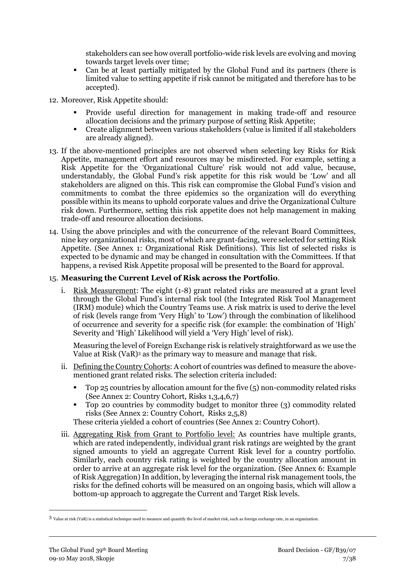stakeholders can see how overall portfolio-wide risk levels are evolving and moving towards target levels over time;

- Can be at least partially mitigated by the Global Fund and its partners (there is limited value to setting appetite if risk cannot be mitigated and therefore has to be accepted).
- 12. Moreover, Risk Appetite should:
	- Provide useful direction for management in making trade-off and resource allocation decisions and the primary purpose of setting Risk Appetite;
	- Create alignment between various stakeholders (value is limited if all stakeholders are already aligned).
- 13. If the above-mentioned principles are not observed when selecting key Risks for Risk Appetite, management effort and resources may be misdirected. For example, setting a Risk Appetite for the 'Organizational Culture' risk would not add value, because, understandably, the Global Fund's risk appetite for this risk would be 'Low' and all stakeholders are aligned on this. This risk can compromise the Global Fund's vision and commitments to combat the three epidemics so the organization will do everything possible within its means to uphold corporate values and drive the Organizational Culture risk down. Furthermore, setting this risk appetite does not help management in making trade-off and resource allocation decisions.
- 14. Using the above principles and with the concurrence of the relevant Board Committees, nine key organizational risks, most of which are grant-facing, were selected for setting Risk Appetite. (See Annex 1: Organizational Risk Definitions). This list of selected risks is expected to be dynamic and may be changed in consultation with the Committees. If that happens, a revised Risk Appetite proposal will be presented to the Board for approval.

#### 15. **Measuring the Current Level of Risk across the Portfolio**.

i. Risk Measurement: The eight (1-8) grant related risks are measured at a grant level through the Global Fund's internal risk tool (the Integrated Risk Tool Management (IRM) module) which the Country Teams use. A risk matrix is used to derive the level of risk (levels range from 'Very High' to 'Low') through the combination of likelihood of occurrence and severity for a specific risk (for example: the combination of 'High' Severity and 'High' Likelihood will yield a 'Very High' level of risk).

Measuring the level of Foreign Exchange risk is relatively straightforward as we use the Value at Risk (VaR)<sup>3</sup> as the primary way to measure and manage that risk.

- ii. Defining the Country Cohorts: A cohort of countries was defined to measure the abovementioned grant related risks. The selection criteria included:
	- Top 25 countries by allocation amount for the five (5) non-commodity related risks (See Annex 2: Country Cohort, Risks 1,3,4,6,7)
	- Top 20 countries by commodity budget to monitor three (3) commodity related risks (See Annex 2: Country Cohort, Risks 2,5,8)
	- These criteria yielded a cohort of countries (See Annex 2: Country Cohort).
- iii. Aggregating Risk from Grant to Portfolio level: As countries have multiple grants, which are rated independently, individual grant risk ratings are weighted by the grant signed amounts to yield an aggregate Current Risk level for a country portfolio. Similarly, each country risk rating is weighted by the country allocation amount in order to arrive at an aggregate risk level for the organization. (See Annex 6: Example of Risk Aggregation) In addition, by leveraging the internal risk management tools, the risks for the defined cohorts will be measured on an ongoing basis, which will allow a bottom-up approach to aggregate the Current and Target Risk levels.

**.** 

<sup>3</sup> Value at risk (VaR) is a statistical technique used to measure and quantify the level of market risk, such as foreign exchange rate, in an organization.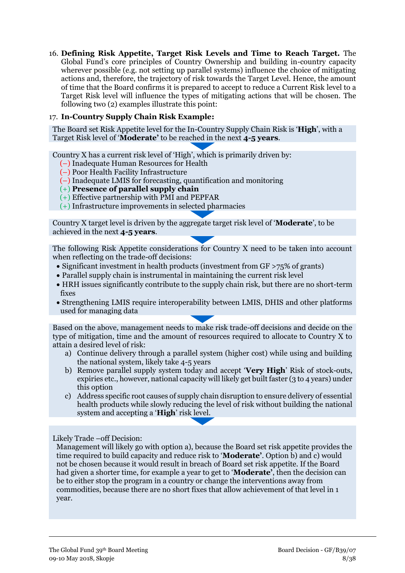16. **Defining Risk Appetite, Target Risk Levels and Time to Reach Target.** The Global Fund's core principles of Country Ownership and building in-country capacity wherever possible (e.g. not setting up parallel systems) influence the choice of mitigating actions and, therefore, the trajectory of risk towards the Target Level. Hence, the amount of time that the Board confirms it is prepared to accept to reduce a Current Risk level to a Target Risk level will influence the types of mitigating actions that will be chosen. The following two (2) examples illustrate this point:

#### 17. **In-Country Supply Chain Risk Example:**

The Board set Risk Appetite level for the In-Country Supply Chain Risk is '**High**', with a Target Risk level of '**Moderate'** to be reached in the next **4-5 years**.

Country X has a current risk level of 'High', which is primarily driven by:

- (–) Inadequate Human Resources for Health
- (–) Poor Health Facility Infrastructure
- (–) Inadequate LMIS for forecasting, quantification and monitoring
- (+) **Presence of parallel supply chain**
- (+) Effective partnership with PMI and PEPFAR
- (+) Infrastructure improvements in selected pharmacies

Country X target level is driven by the aggregate target risk level of '**Moderate**', to be achieved in the next **4-5 years**.

The following Risk Appetite considerations for Country X need to be taken into account when reflecting on the trade-off decisions:

- Significant investment in health products (investment from GF >75% of grants)
- Parallel supply chain is instrumental in maintaining the current risk level
- HRH issues significantly contribute to the supply chain risk, but there are no short-term fixes
- Strengthening LMIS require interoperability between LMIS, DHIS and other platforms used for managing data

Based on the above, management needs to make risk trade-off decisions and decide on the type of mitigation, time and the amount of resources required to allocate to Country X to attain a desired level of risk:

- a) Continue delivery through a parallel system (higher cost) while using and building the national system, likely take 4-5 years
- b) Remove parallel supply system today and accept '**Very High**' Risk of stock-outs, expiries etc., however, national capacity will likely get built faster (3 to 4 years) under this option
- c) Address specific root causes of supply chain disruption to ensure delivery of essential health products while slowly reducing the level of risk without building the national system and accepting a '**High**' risk level.

Likely Trade –off Decision:

Management will likely go with option a), because the Board set risk appetite provides the time required to build capacity and reduce risk to '**Moderate'**. Option b) and c) would not be chosen because it would result in breach of Board set risk appetite. If the Board had given a shorter time, for example a year to get to '**Moderate'**, then the decision can be to either stop the program in a country or change the interventions away from commodities, because there are no short fixes that allow achievement of that level in 1 year.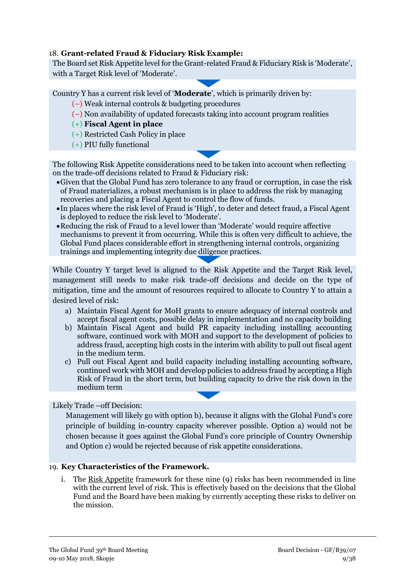#### 18. **Grant-related Fraud & Fiduciary Risk Example:**

The Board set Risk Appetite level for the Grant-related Fraud & Fiduciary Risk is 'Moderate', with a Target Risk level of 'Moderate'.

Country Y has a current risk level of '**Moderate**', which is primarily driven by:

- (–) Weak internal controls & budgeting procedures
- (–) Non availability of updated forecasts taking into account program realities
- (+) **Fiscal Agent in place**
- (+) Restricted Cash Policy in place
- (+) PIU fully functional

The following Risk Appetite considerations need to be taken into account when reflecting on the trade-off decisions related to Fraud & Fiduciary risk:

- Given that the Global Fund has zero tolerance to any fraud or corruption, in case the risk of Fraud materializes, a robust mechanism is in place to address the risk by managing recoveries and placing a Fiscal Agent to control the flow of funds.
- In places where the risk level of Fraud is 'High', to deter and detect fraud, a Fiscal Agent is deployed to reduce the risk level to 'Moderate'.
- Reducing the risk of Fraud to a level lower than 'Moderate' would require affective mechanisms to prevent it from occurring. While this is often very difficult to achieve, the Global Fund places considerable effort in strengthening internal controls, organizing trainings and implementing integrity due diligence practices.

While Country Y target level is aligned to the Risk Appetite and the Target Risk level, management still needs to make risk trade-off decisions and decide on the type of mitigation, time and the amount of resources required to allocate to Country Y to attain a desired level of risk:

- a) Maintain Fiscal Agent for MoH grants to ensure adequacy of internal controls and accept fiscal agent costs, possible delay in implementation and no capacity building
- b) Maintain Fiscal Agent and build PR capacity including installing accounting software, continued work with MOH and support to the development of policies to address fraud, accepting high costs in the interim with ability to pull out fiscal agent in the medium term.
- c) Pull out Fiscal Agent and build capacity including installing accounting software, continued work with MOH and develop policies to address fraud by accepting a High Risk of Fraud in the short term, but building capacity to drive the risk down in the medium term

Likely Trade –off Decision:

Management will likely go with option b), because it aligns with the Global Fund's core principle of building in-country capacity wherever possible. Option a) would not be chosen because it goes against the Global Fund's core principle of Country Ownership and Option c) would be rejected because of risk appetite considerations.

#### 19. **Key Characteristics of the Framework.**

i. The Risk Appetite framework for these nine (9) risks has been recommended in line with the current level of risk. This is effectively based on the decisions that the Global Fund and the Board have been making by currently accepting these risks to deliver on the mission.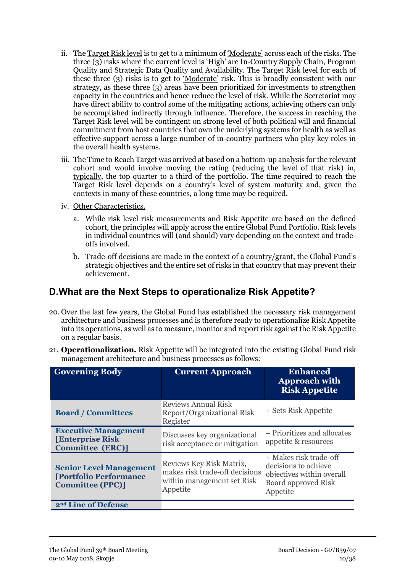- ii. The Target Risk level is to get to a minimum of 'Moderate' across each of the risks. The three (3) risks where the current level is 'High' are In-Country Supply Chain, Program Quality and Strategic Data Quality and Availability. The Target Risk level for each of these three (3) risks is to get to 'Moderate' risk. This is broadly consistent with our strategy, as these three (3) areas have been prioritized for investments to strengthen capacity in the countries and hence reduce the level of risk. While the Secretariat may have direct ability to control some of the mitigating actions, achieving others can only be accomplished indirectly through influence. Therefore, the success in reaching the Target Risk level will be contingent on strong level of both political will and financial commitment from host countries that own the underlying systems for health as well as effective support across a large number of in-country partners who play key roles in the overall health systems.
- iii. The Time to Reach Target was arrived at based on a bottom-up analysis for the relevant cohort and would involve moving the rating (reducing the level of that risk) in, typically, the top quarter to a third of the portfolio. The time required to reach the Target Risk level depends on a country's level of system maturity and, given the contexts in many of these countries, a long time may be required.
- iv. Other Characteristics.
	- a. While risk level risk measurements and Risk Appetite are based on the defined cohort, the principles will apply across the entire Global Fund Portfolio. Risk levels in individual countries will (and should) vary depending on the context and tradeoffs involved.
	- b. Trade-off decisions are made in the context of a country/grant, the Global Fund's strategic objectives and the entire set of risks in that country that may prevent their achievement.

### **D. What are the Next Steps to operationalize Risk Appetite?**

- 20. Over the last few years, the Global Fund has established the necessary risk management architecture and business processes and is therefore ready to operationalize Risk Appetite into its operations, as well as to measure, monitor and report risk against the Risk Appetite on a regular basis.
- 21. **Operationalization.** Risk Appetite will be integrated into the existing Global Fund risk management architecture and business processes as follows:

| <b>Governing Body</b>                                                                      | <b>Current Approach</b>                                                                              | <b>Enhanced</b><br><b>Approach with</b><br><b>Risk Appetite</b>                                                |
|--------------------------------------------------------------------------------------------|------------------------------------------------------------------------------------------------------|----------------------------------------------------------------------------------------------------------------|
| <b>Board / Committees</b>                                                                  | <b>Reviews Annual Risk</b><br>Report/Organizational Risk<br>Register                                 | + Sets Risk Appetite                                                                                           |
| <b>Executive Management</b><br><b>[Enterprise Risk]</b><br><b>Committee (ERC)]</b>         | Discusses key organizational<br>risk acceptance or mitigation                                        | + Prioritizes and allocates<br>appetite & resources                                                            |
| <b>Senior Level Management</b><br><b>[Portfolio Performance</b><br><b>Committee (PPC)]</b> | Reviews Key Risk Matrix,<br>makes risk trade-off decisions<br>within management set Risk<br>Appetite | + Makes risk trade-off<br>decisions to achieve<br>objectives within overall<br>Board approved Risk<br>Appetite |
| 2 <sup>nd</sup> Line of Defense                                                            |                                                                                                      |                                                                                                                |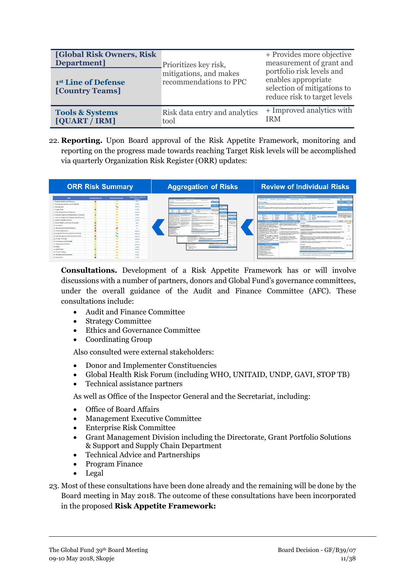| <b>[Global Risk Owners, Risk]</b><br>Department]<br>1st Line of Defense<br>[Country Teams] | Prioritizes key risk,<br>mitigations, and makes<br>recommendations to PPC | + Provides more objective<br>measurement of grant and<br>portfolio risk levels and<br>enables appropriate<br>selection of mitigations to<br>reduce risk to target levels |
|--------------------------------------------------------------------------------------------|---------------------------------------------------------------------------|--------------------------------------------------------------------------------------------------------------------------------------------------------------------------|
| <b>Tools &amp; Systems</b>                                                                 | Risk data entry and analytics                                             | + Improved analytics with                                                                                                                                                |
| [QUART / IRM]                                                                              | tool                                                                      | <b>IRM</b>                                                                                                                                                               |

22. **Reporting.** Upon Board approval of the Risk Appetite Framework, monitoring and reporting on the progress made towards reaching Target Risk levels will be accomplished via quarterly Organization Risk Register (ORR) updates:

| <b>ORR Risk Summary</b>                     |                  | <b>Aggregation of Risks</b> |                                                  |                                                                                                                                                                                                                                                                                                                                                                                     | <b>Review of Individual Risks</b>                                                                                                                                                                                                                                                                                                                                                                                                                                                                         |  |  |
|---------------------------------------------|------------------|-----------------------------|--------------------------------------------------|-------------------------------------------------------------------------------------------------------------------------------------------------------------------------------------------------------------------------------------------------------------------------------------------------------------------------------------------------------------------------------------|-----------------------------------------------------------------------------------------------------------------------------------------------------------------------------------------------------------------------------------------------------------------------------------------------------------------------------------------------------------------------------------------------------------------------------------------------------------------------------------------------------------|--|--|
|                                             | Residual Risk O2 | <b>Direction of Travel</b>  | <b>Global Fund Ability to</b><br><b>Mitleate</b> | tains of Chinese because of Chinese and<br><b><i><u>Substitution</u></i></b><br>$\overline{\phantom{a}}$                                                                                                                                                                                                                                                                            | Program Quality and Efficiency<br><b>Residual Risk 1. Risk Agon</b><br><b>Block Charless Trail:</b><br>٠<br>$\circ$<br><b>DT Caseum: Promotional &amp; SOUT</b><br>Direction of Dramp<br><b>So shares since last marter</b>                                                                                                                                                                                                                                                                               |  |  |
|                                             |                  | $\overline{\phantom{a}}$    | $\cdots$                                         |                                                                                                                                                                                                                                                                                                                                                                                     | <b>CALLES</b><br><b>Start State</b><br><b>With Description</b>                                                                                                                                                                                                                                                                                                                                                                                                                                            |  |  |
| 2. Strategic Data Quality and Availability  |                  | $\rightarrow$               | 1.414                                            | lasts affigure have basic to back to supply special and the contract design and real and any of the state of the backet grade is<br>$\overline{\phantom{a}}$<br>i al program code ha pels lear pé a producer i rendere les legisles tamp ar producer an aliment agres al                                                                                                            | Rose Paulito of Programs National Andel for the Guidel Road, Increase Aire residence and Automa created Issued, allowed a decouple contrast and in Afficerational assumption to<br>which induct is directe unable contacts out lease the indust of sixtual Evad's importances in Self-line Sources.<br>$+ +$<br>$\circ$                                                                                                                                                                                   |  |  |
|                                             |                  |                             | ****                                             | <b>Service</b>                                                                                                                                                                                                                                                                                                                                                                      | <b>With Impact</b><br>This can cause constrains to staffed from models listens study as once adherence to international standards for diamonic transforms and connection, more adherences to explorers and<br><b>Karl Parmary</b>                                                                                                                                                                                                                                                                         |  |  |
|                                             |                  | $\overline{\phantom{a}}$    | $+ + +$                                          | ---<br>TE<br>管<br><b>Contract Programma in charge and contract and contract and contract and contract and contract and contract and</b><br>$\overline{a}$                                                                                                                                                                                                                           | inspired use of health crafture. Such risks are experienced in high risk and consumers that account for a significant parties of Golva Fund incompany.                                                                                                                                                                                                                                                                                                                                                    |  |  |
|                                             |                  | $\overline{\phantom{a}}$    | ****                                             | 這<br>$= 100$<br><b>Scotter</b><br>-----<br><b>Service</b><br>a demand of the state of the contribution                                                                                                                                                                                                                                                                              | <b>Key Countries/Components</b><br>Learnston of the CTI Government                                                                                                                                                                                                                                                                                                                                                                                                                                        |  |  |
|                                             |                  | $\rightarrow$               | <b>STATE</b>                                     | Mark in 7 to 1 across a bilance concerns without market<br>and in a season of a later<br>with firm front broads on                                                                                                                                                                                                                                                                  | North Mastin Dreamination and<br><b><i><u>CONSTRUCTION</u></i></b><br><b>Senat Miller</b><br><b>CALL BOOKER</b><br><b>Stationary Contracts</b><br>----<br>$\sim$<br>Mexitt Jrete Critishoratics have<br>or take<br><b>C. Personals</b><br><b>AT Publica</b><br>a motors adulting by motherety<br><b>Months</b><br><b>Ford In</b>                                                                                                                                                                          |  |  |
|                                             |                  | $\overline{\phantom{a}}$    | $+ + +$                                          | TENNIS PARK (Engine des parts and many hands for a stiff and<br>_________<br>and all the first control and control and<br>$\overline{a}$<br>of the guide property light and Minnes are the least in plans in them, brough Minn<br>is exclusive at adhest front. A free core disposals or a<br>----------                                                                            | $\sim$<br>Fee as countries by allocation amount<br>Program Challing and Efficiance<br>$\overline{u}$<br><b>AP FOR BAY</b><br>$\sim$<br>$-0.00$<br>Mahmill<br>$-1$<br><b>Piccano</b><br><b>Should</b><br><b>AT SHANNA</b><br><b>CALL Minimum</b><br><b>C. Maxwellian</b><br><b>Education</b><br>At Automobile                                                                                                                                                                                              |  |  |
|                                             |                  | $\rightarrow$               | ***                                              | --<br>the a complete state three structures and a model engine and a complete<br>distances in home sense at<br>Grantine Schultzer back resolution<br>to continue of Link                                                                                                                                                                                                            | $x - n +$<br>at Chica Cheshie (14 Securitation)<br><b>ART MORE</b><br>$\sim$<br><b>Service</b><br>$\circ$<br><b>Base Course</b><br>a. Corrent Controls & Minissipping<br><b>Status:</b><br>a. Progress on Ongoing & Flanned Mitigations                                                                                                                                                                                                                                                                   |  |  |
|                                             |                  | $\overline{\phantom{a}}$    | **                                               | <b>The Contract of Second Contract of Second Second Contract of Second Second Contract of Second Second Second Second Second Second Second Second Second Second Second Second Second Second Second Second Second Second Second S</b><br>Constitution business of the constitution of the<br>posta Papeur to Set.<br><b><i><u>SILINOIS</u></i></b><br>ment and the first and country | C Tradegrate use of data for appropriate (1) Exhibition in must now your major and ( clearables<br><b>Timelines</b>                                                                                                                                                                                                                                                                                                                                                                                       |  |  |
|                                             |                  | $\rightarrow$               | $\cdots$                                         | --------<br>driver here where<br>taken of both in sale.<br><b>MAX</b><br>a World retain generating have betwelftes process the<br>Contrador Instrument<br>----                                                                                                                                                                                                                      | design of positiv is efficient programs renamed. Afficiation through strategies in country.<br>and relevant to sunbenintegrad context.<br><b>Bondeste Seldwick</b><br>pries Gene Throat Fategories of<br>sec.<br>14 Street Through Technological performance on her waves to import to Transver Country and Efficiency.<br>(a) Depressions and tweets not based on 1.45.                                                                                                                                  |  |  |
|                                             |                  |                             |                                                  | <b>COLOR</b><br>--<br><b>COMMERCIAL</b><br>a company and company                                                                                                                                                                                                                                                                                                                    | Including Academies of the sea Page 17m and Action Statements:<br>programs' contact or do not address Tational.<br>Products Flan returnings.<br>(c) (Niferentiated approaches to achieve impact<br>a) State up of Program Coality and Efficiency anti-trian based on prives in Shana, frenezal, Kenya,<br>and.<br>(a) fur interventions not sufficiently forceed. In diverse country computeringly yurn).                                                                                                 |  |  |
|                                             |                  | $\overline{\phantom{a}}$    | ****                                             | <b>SERVIÇO M</b><br>ATANGAN MANAGEMENT VA NATIONALISMO.<br>ATANGAN MANAGEMENT VA NATIONALISMO.<br>---------<br>-<br>----<br>-                                                                                                                                                                                                                                                       | <b>Wendy Tenness and Texas</b><br>on populations most in need of services, or<br>ser.<br>val-biked to adopting program common.<br>Collegeing dispeningties of had tractions                                                                                                                                                                                                                                                                                                                               |  |  |
| 13. Integrated Processes. Systems and Tools |                  |                             | $+ + + +$                                        | <b>CASTLE AND</b><br><b>State and Service</b><br>A detective contact that sales provided as a second contact that is a detective<br><b>Maria Allena</b><br>A DOMESTIC PROPERTY AND RESIDENCE.<br>-- 199<br>-                                                                                                                                                                        | High force in TAP during country dialogue and must making up the dimensionline of heat tractions.<br>(a) Goldstray hote to return quality of and counted publicity to Tacheran Africa and<br>and audiance on normative audailines to improve adoption of slobal quality standards for be-<br>serious are not available or entergets are not. Pactitudinates including coality applicable and<br>between particular for more provider.<br>Australy restaurab-<br>screative prideline: (ish 1.4-6).         |  |  |
| 14. Risk Management and Internal Controls   |                  |                             | ****                                             | a los de la completación de la completación de la<br><b>Laster</b><br>$\sim$<br><b>THE ART AFT FURL</b><br>Contact of Monday and Contact of Contact of Contact of Contact of Contact of Contact of Contact of Contact of<br>$\sim$<br><b>Bank</b>                                                                                                                                   | (a) Programs do not adhere to approved<br><b>MAIN</b><br>national or 1/903 guidelines a.g. methods (a) aligning program and data quality<br>(c) One winned Policy Mate on Data and Program Coality Institutesment through Lifts and other                                                                                                                                                                                                                                                                 |  |  |
|                                             |                  | $\overline{\phantom{a}}$    | 1.111                                            | the company of the company of the company of the company of the company of the company of the company of the company of the company of the company of the company of the company of the company of the company of the company<br>a summer begins began into<br>-<br>ANTIQUE BUSINESS OF LAS<br><b>Distant</b>                                                                       | Revealations disapports tools. Mr. appropriately hope and finds faulty.<br>specialized assurance providers, in partnership visit 1/190, GoVT, Vitald Bank and USATO through the<br>Sharth fram Cohehonama (909C). Suchaba aix saturad land Sharth Factory newscreams and no three<br>procurement, prevention, identification, care diperational Patico Notal with orange Blake<br>and cand<br>trastment or adherence modelines.<br>builty Barlays exercise initiating<br>neurance Planning (rath. 1.9-6). |  |  |
|                                             |                  | $\rightarrow$               | ***                                              | 2.5m exportments<br><b>NON-ADM ADDITIONS COAST RESTORE ADDRESS TO ANIMAL</b>                                                                                                                                                                                                                                                                                                        | (6) Inademate staff canadity with ramias<br>(a) MBCA TAP vrating to expert and align Program Osality and Efficiency assurances visition<br>training and purambian.<br>(g) Catalytic funding for data systems pour-<br>population to the benefit and control and<br>one talk sa sat-                                                                                                                                                                                                                       |  |  |
|                                             |                  | $\overline{\phantom{a}}$    | $+ + + +$                                        | <b><i>A final and in the set in providing the set of the set of the set of the set of the set of the set of the set of the set of the set of the set of the set of the set of the set of the set of the set of the set of the set </i></b><br><b>WEIGHT SHOWERS</b><br>                                                                                                             | 3. Annexances<br>$max1$ - $mod$                                                                                                                                                                                                                                                                                                                                                                                                                                                                           |  |  |
|                                             |                  | $\rightarrow$               | <b>STATE</b>                                     | Paper in Traces in Work is an output the total assesses policy publicle, and<br><b>The Control of Control Control and</b><br>______                                                                                                                                                                                                                                                 | <b>Started studies or engineerings</b><br><b>Brandwale Baltistical/A)</b><br>(a) Satisface or disease startific periods:<br>Catalytic funding for data arabase expelse, beheding Taxpoot for Proposals for building analytical<br>regarity to imports program goality and neovers allocation in up kick limpest countries, and creating a                                                                                                                                                                 |  |  |
|                                             |                  | $\overline{\phantom{a}}$    | ****                                             | The commercial                                                                                                                                                                                                                                                                                                                                                                      | (a) Program quality facility assessments;<br>La Chattaballage Sweet automo-<br>post of rechning assistance for country data evening and son.<br><b>California months and a final con-</b>                                                                                                                                                                                                                                                                                                                 |  |  |
|                                             |                  | $\overline{\phantom{a}}$    | $+ + +$                                          |                                                                                                                                                                                                                                                                                                                                                                                     | (8) Partner rentaurs<br>a. Additional Actions Visabel<br>11 Programmatic stort charitan                                                                                                                                                                                                                                                                                                                                                                                                                   |  |  |
|                                             |                  | $\overline{\phantom{a}}$    | <b>STAR</b>                                      |                                                                                                                                                                                                                                                                                                                                                                                     | (\$1.0 miles) investiga analyzings;<br>(c) bases the excepted direct testers centered services and membering the well in the new funding order.<br>(a) Themello perfector<br>(a) Continued expensive of origins militaria in the new funding mide.<br><b>Lot Progress County Evaluations</b>                                                                                                                                                                                                              |  |  |
|                                             |                  | $\overline{\phantom{a}}$    | ***                                              |                                                                                                                                                                                                                                                                                                                                                                                     | "Rocked Rob brot may sharps as in the abbitional between up rock. Mosk Appello and Torger Rob land will be tilted in after approval to the Beard                                                                                                                                                                                                                                                                                                                                                          |  |  |

**Consultations.** Development of a Risk Appetite Framework has or will involve discussions with a number of partners, donors and Global Fund's governance committees, under the overall guidance of the Audit and Finance Committee (AFC). These consultations include:

- Audit and Finance Committee
- Strategy Committee
- Ethics and Governance Committee
- Coordinating Group

Also consulted were external stakeholders:

- Donor and Implementer Constituencies
- Global Health Risk Forum (including WHO, UNITAID, UNDP, GAVI, STOP TB)
- Technical assistance partners

As well as Office of the Inspector General and the Secretariat, including:

- Office of Board Affairs
- Management Executive Committee
- Enterprise Risk Committee
- Grant Management Division including the Directorate, Grant Portfolio Solutions & Support and Supply Chain Department
- Technical Advice and Partnerships
- Program Finance
- Legal
- 23. Most of these consultations have been done already and the remaining will be done by the Board meeting in May 2018. The outcome of these consultations have been incorporated in the proposed **Risk Appetite Framework:**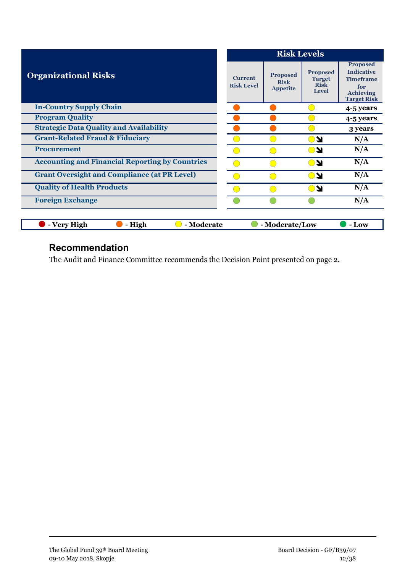|                                                        |                                     | <b>Risk Levels</b>                                |                                                                 |                                                                                                           |  |
|--------------------------------------------------------|-------------------------------------|---------------------------------------------------|-----------------------------------------------------------------|-----------------------------------------------------------------------------------------------------------|--|
| <b>Organizational Risks</b>                            | <b>Current</b><br><b>Risk Level</b> | <b>Proposed</b><br><b>Risk</b><br><b>Appetite</b> | <b>Proposed</b><br><b>Target</b><br><b>Risk</b><br><b>Level</b> | <b>Proposed</b><br><b>Indicative</b><br><b>Timeframe</b><br>for<br><b>Achieving</b><br><b>Target Risk</b> |  |
| <b>In-Country Supply Chain</b>                         |                                     |                                                   |                                                                 | 4-5 years                                                                                                 |  |
| <b>Program Quality</b>                                 |                                     |                                                   |                                                                 | 4-5 years                                                                                                 |  |
| <b>Strategic Data Quality and Availability</b>         |                                     |                                                   |                                                                 | 3 years                                                                                                   |  |
| <b>Grant-Related Fraud &amp; Fiduciary</b>             |                                     |                                                   | DN.                                                             | N/A                                                                                                       |  |
| <b>Procurement</b>                                     |                                     |                                                   | ON.                                                             | N/A                                                                                                       |  |
| <b>Accounting and Financial Reporting by Countries</b> | o a                                 |                                                   | ON                                                              | N/A                                                                                                       |  |
| <b>Grant Oversight and Compliance (at PR Level)</b>    |                                     |                                                   | KO                                                              | N/A                                                                                                       |  |
| <b>Quality of Health Products</b>                      |                                     |                                                   | DN.                                                             | N/A                                                                                                       |  |
| <b>Foreign Exchange</b>                                |                                     |                                                   |                                                                 | N/A                                                                                                       |  |
|                                                        |                                     |                                                   |                                                                 |                                                                                                           |  |
| - Moderate<br><b>Very High</b><br>- High               |                                     | - Moderate/Low                                    |                                                                 | - Low                                                                                                     |  |

## **Recommendation**

The Audit and Finance Committee recommends the Decision Point presented on page 2.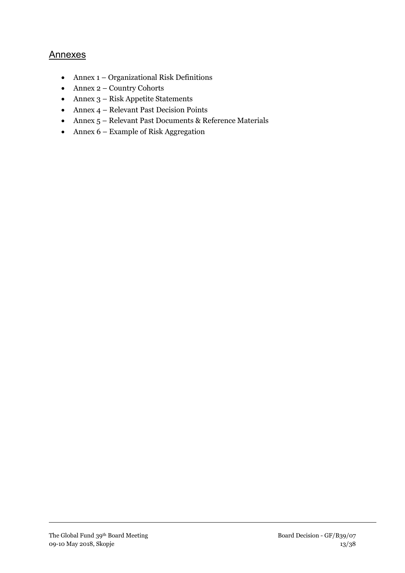#### Annexes

- Annex 1 Organizational Risk Definitions
- Annex 2 Country Cohorts
- Annex 3 Risk Appetite Statements
- Annex 4 Relevant Past Decision Points
- Annex 5 Relevant Past Documents & Reference Materials
- Annex 6 Example of Risk Aggregation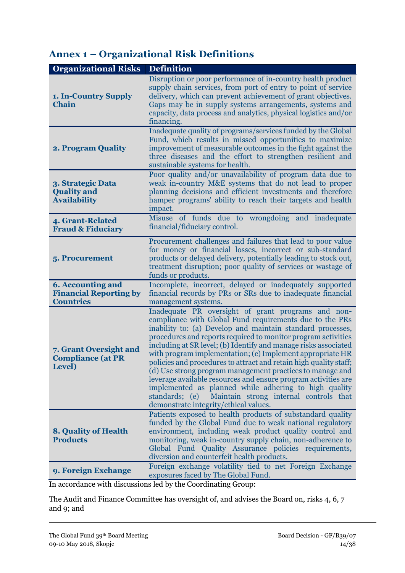# **Annex 1 – Organizational Risk Definitions**

| <b>Organizational Risks</b>                                                   | <b>Definition</b>                                                                                                                                                                                                                                                                                                                                                                                                                                                                                                                                                                                                                                                                                                                              |
|-------------------------------------------------------------------------------|------------------------------------------------------------------------------------------------------------------------------------------------------------------------------------------------------------------------------------------------------------------------------------------------------------------------------------------------------------------------------------------------------------------------------------------------------------------------------------------------------------------------------------------------------------------------------------------------------------------------------------------------------------------------------------------------------------------------------------------------|
| 1. In-Country Supply<br><b>Chain</b>                                          | Disruption or poor performance of in-country health product<br>supply chain services, from port of entry to point of service<br>delivery, which can prevent achievement of grant objectives.<br>Gaps may be in supply systems arrangements, systems and<br>capacity, data process and analytics, physical logistics and/or<br>financing.                                                                                                                                                                                                                                                                                                                                                                                                       |
| 2. Program Quality                                                            | Inadequate quality of programs/services funded by the Global<br>Fund, which results in missed opportunities to maximize<br>improvement of measurable outcomes in the fight against the<br>three diseases and the effort to strengthen resilient and<br>sustainable systems for health.                                                                                                                                                                                                                                                                                                                                                                                                                                                         |
| 3. Strategic Data<br><b>Quality and</b><br><b>Availability</b>                | Poor quality and/or unavailability of program data due to<br>weak in-country M&E systems that do not lead to proper<br>planning decisions and efficient investments and therefore<br>hamper programs' ability to reach their targets and health<br>impact.                                                                                                                                                                                                                                                                                                                                                                                                                                                                                     |
| 4. Grant-Related<br><b>Fraud &amp; Fiduciary</b>                              | Misuse of funds due to wrongdoing and inadequate<br>financial/fiduciary control.                                                                                                                                                                                                                                                                                                                                                                                                                                                                                                                                                                                                                                                               |
| 5. Procurement                                                                | Procurement challenges and failures that lead to poor value<br>for money or financial losses, incorrect or sub-standard<br>products or delayed delivery, potentially leading to stock out,<br>treatment disruption; poor quality of services or wastage of<br>funds or products.                                                                                                                                                                                                                                                                                                                                                                                                                                                               |
| <b>6. Accounting and</b><br><b>Financial Reporting by</b><br><b>Countries</b> | Incomplete, incorrect, delayed or inadequately supported<br>financial records by PRs or SRs due to inadequate financial<br>management systems.                                                                                                                                                                                                                                                                                                                                                                                                                                                                                                                                                                                                 |
| 7. Grant Oversight and<br><b>Compliance (at PR</b><br>Level)                  | Inadequate PR oversight of grant programs and non-<br>compliance with Global Fund requirements due to the PRs<br>inability to: (a) Develop and maintain standard processes,<br>procedures and reports required to monitor program activities<br>including at SR level; (b) Identify and manage risks associated<br>with program implementation; (c) Implement appropriate HR<br>policies and procedures to attract and retain high quality staff;<br>(d) Use strong program management practices to manage and<br>leverage available resources and ensure program activities are<br>implemented as planned while adhering to high quality<br>standards; (e)<br>Maintain strong internal controls that<br>demonstrate integrity/ethical values. |
| <b>8. Quality of Health</b><br><b>Products</b>                                | Patients exposed to health products of substandard quality<br>funded by the Global Fund due to weak national regulatory<br>environment, including weak product quality control and<br>monitoring, weak in-country supply chain, non-adherence to<br>Global Fund Quality Assurance policies requirements,<br>diversion and counterfeit health products.                                                                                                                                                                                                                                                                                                                                                                                         |
| 9. Foreign Exchange                                                           | Foreign exchange volatility tied to net Foreign Exchange<br>exposures faced by The Global Fund.                                                                                                                                                                                                                                                                                                                                                                                                                                                                                                                                                                                                                                                |

In accordance with discussions led by the Coordinating Group:

The Audit and Finance Committee has oversight of, and advises the Board on, risks 4, 6, 7 and 9; and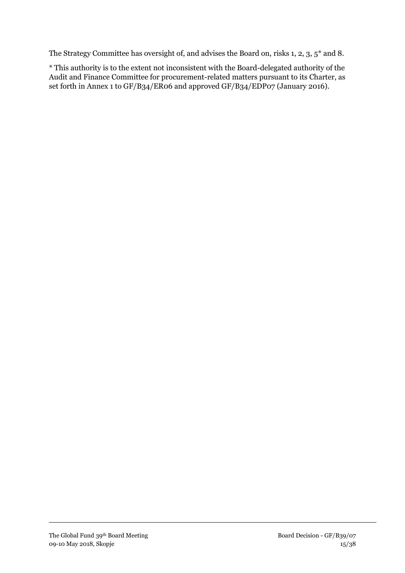The Strategy Committee has oversight of, and advises the Board on, risks 1, 2, 3, 5\* and 8.

\* This authority is to the extent not inconsistent with the Board-delegated authority of the Audit and Finance Committee for procurement-related matters pursuant to its Charter, as set forth in Annex 1 to GF/B34/ER06 and approved GF/B34/EDP07 (January 2016).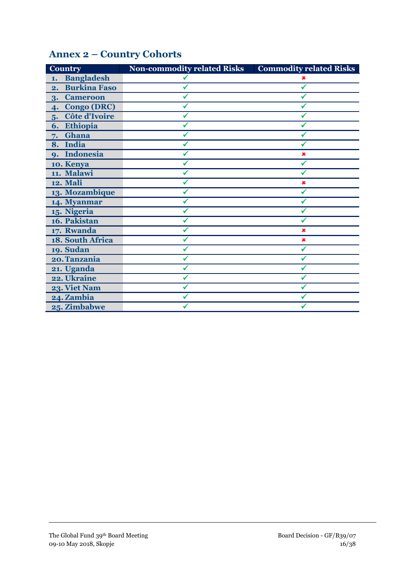| <b>Country</b>            | <b>Non-commodity related Risks</b> | <b>Commodity related Risks</b> |
|---------------------------|------------------------------------|--------------------------------|
| <b>Bangladesh</b><br>1.   |                                    |                                |
| <b>Burkina Faso</b><br>2. |                                    |                                |
| <b>Cameroon</b><br>3.     |                                    |                                |
| <b>Congo (DRC)</b><br>4.  |                                    |                                |
| Côte d'Ivoire<br>5.       |                                    |                                |
| Ethiopia<br>6.            |                                    |                                |
| Ghana<br>7.               |                                    |                                |
| 8. India                  |                                    |                                |
| 9. Indonesia              |                                    |                                |
| 10. Kenya                 |                                    |                                |
| 11. Malawi                |                                    |                                |
| <b>12. Mali</b>           |                                    | ×                              |
| 13. Mozambique            |                                    |                                |
| 14. Myanmar               |                                    |                                |
| 15. Nigeria               |                                    |                                |
| 16. Pakistan              |                                    |                                |
| 17. Rwanda                |                                    | ×                              |
| 18. South Africa          |                                    | ×                              |
| 19. Sudan                 |                                    |                                |
| 20. Tanzania              |                                    |                                |
| 21. Uganda                |                                    |                                |
| 22. Ukraine               |                                    |                                |
| 23. Viet Nam              |                                    |                                |
| 24. Zambia                |                                    |                                |
| 25. Zimbabwe              |                                    |                                |

# **Annex 2 – Country Cohorts**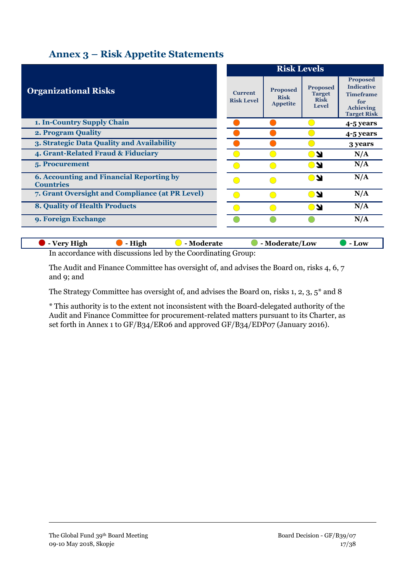### **Annex 3 – Risk Appetite Statements**

|                                                                     |                                     | <b>Risk Levels</b>                                |                                                                 |                                                                                                           |  |
|---------------------------------------------------------------------|-------------------------------------|---------------------------------------------------|-----------------------------------------------------------------|-----------------------------------------------------------------------------------------------------------|--|
| <b>Organizational Risks</b>                                         | <b>Current</b><br><b>Risk Level</b> | <b>Proposed</b><br><b>Risk</b><br><b>Appetite</b> | <b>Proposed</b><br><b>Target</b><br><b>Risk</b><br><b>Level</b> | <b>Proposed</b><br><b>Indicative</b><br><b>Timeframe</b><br>for<br><b>Achieving</b><br><b>Target Risk</b> |  |
| 1. In-Country Supply Chain                                          |                                     |                                                   |                                                                 | 4-5 years                                                                                                 |  |
| 2. Program Quality                                                  |                                     |                                                   |                                                                 | 4-5 years                                                                                                 |  |
| 3. Strategic Data Quality and Availability                          |                                     |                                                   |                                                                 | 3 years                                                                                                   |  |
| 4. Grant-Related Fraud & Fiduciary                                  |                                     |                                                   | <b>NG</b>                                                       | N/A                                                                                                       |  |
| 5. Procurement                                                      |                                     |                                                   | ON.                                                             | N/A                                                                                                       |  |
| <b>6. Accounting and Financial Reporting by</b><br><b>Countries</b> |                                     |                                                   | ∩∾                                                              | N/A                                                                                                       |  |
| 7. Grant Oversight and Compliance (at PR Level)                     |                                     |                                                   | <b>NG</b>                                                       | N/A                                                                                                       |  |
| <b>8. Quality of Health Products</b>                                |                                     |                                                   | DN.                                                             | N/A                                                                                                       |  |
| 9. Foreign Exchange                                                 |                                     |                                                   |                                                                 | N/A                                                                                                       |  |
| - High<br>- Moderate<br>- Very High                                 |                                     | - Moderate/Low                                    |                                                                 | - Low                                                                                                     |  |

In accordance with discussions led by the Coordinating Group:

The Audit and Finance Committee has oversight of, and advises the Board on, risks 4, 6, 7 and 9; and

The Strategy Committee has oversight of, and advises the Board on, risks 1, 2, 3, 5\* and 8

\* This authority is to the extent not inconsistent with the Board-delegated authority of the Audit and Finance Committee for procurement-related matters pursuant to its Charter, as set forth in Annex 1 to GF/B34/ER06 and approved GF/B34/EDP07 (January 2016).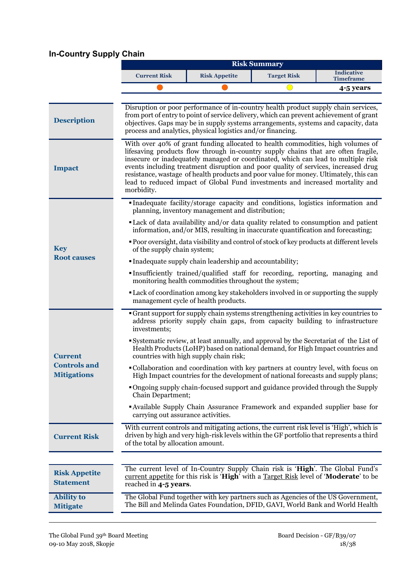# **In-Country Supply Chain**

|                                           |                                                                                                                                                                                                                  |                                                                                                                                                                                                                                                                                                                                                                                                                                                                                                                          | <b>Risk Summary</b> |                                       |  |
|-------------------------------------------|------------------------------------------------------------------------------------------------------------------------------------------------------------------------------------------------------------------|--------------------------------------------------------------------------------------------------------------------------------------------------------------------------------------------------------------------------------------------------------------------------------------------------------------------------------------------------------------------------------------------------------------------------------------------------------------------------------------------------------------------------|---------------------|---------------------------------------|--|
|                                           | <b>Current Risk</b>                                                                                                                                                                                              | <b>Risk Appetite</b>                                                                                                                                                                                                                                                                                                                                                                                                                                                                                                     | <b>Target Risk</b>  | <b>Indicative</b><br><b>Timeframe</b> |  |
|                                           |                                                                                                                                                                                                                  |                                                                                                                                                                                                                                                                                                                                                                                                                                                                                                                          |                     | 4-5 years                             |  |
| <b>Description</b>                        |                                                                                                                                                                                                                  | Disruption or poor performance of in-country health product supply chain services,<br>from port of entry to point of service delivery, which can prevent achievement of grant<br>objectives. Gaps may be in supply systems arrangements, systems and capacity, data<br>process and analytics, physical logistics and/or financing.                                                                                                                                                                                       |                     |                                       |  |
| <b>Impact</b>                             | morbidity.                                                                                                                                                                                                       | With over 40% of grant funding allocated to health commodities, high volumes of<br>lifesaving products flow through in-country supply chains that are often fragile,<br>insecure or inadequately managed or coordinated, which can lead to multiple risk<br>events including treatment disruption and poor quality of services, increased drug<br>resistance, wastage of health products and poor value for money. Ultimately, this can<br>lead to reduced impact of Global Fund investments and increased mortality and |                     |                                       |  |
|                                           |                                                                                                                                                                                                                  | Inadequate facility/storage capacity and conditions, logistics information and<br>planning, inventory management and distribution;                                                                                                                                                                                                                                                                                                                                                                                       |                     |                                       |  |
|                                           |                                                                                                                                                                                                                  | • Lack of data availability and/or data quality related to consumption and patient<br>information, and/or MIS, resulting in inaccurate quantification and forecasting;                                                                                                                                                                                                                                                                                                                                                   |                     |                                       |  |
| <b>Key</b>                                | • Poor oversight, data visibility and control of stock of key products at different levels<br>of the supply chain system;                                                                                        |                                                                                                                                                                                                                                                                                                                                                                                                                                                                                                                          |                     |                                       |  |
| <b>Root causes</b>                        | • Inadequate supply chain leadership and accountability;                                                                                                                                                         |                                                                                                                                                                                                                                                                                                                                                                                                                                                                                                                          |                     |                                       |  |
|                                           | Insufficiently trained/qualified staff for recording, reporting, managing and<br>monitoring health commodities throughout the system;                                                                            |                                                                                                                                                                                                                                                                                                                                                                                                                                                                                                                          |                     |                                       |  |
|                                           | • Lack of coordination among key stakeholders involved in or supporting the supply<br>management cycle of health products.                                                                                       |                                                                                                                                                                                                                                                                                                                                                                                                                                                                                                                          |                     |                                       |  |
|                                           | Grant support for supply chain systems strengthening activities in key countries to<br>address priority supply chain gaps, from capacity building to infrastructure<br>investments;                              |                                                                                                                                                                                                                                                                                                                                                                                                                                                                                                                          |                     |                                       |  |
| <b>Current</b>                            | Systematic review, at least annually, and approval by the Secretariat of the List of<br>Health Products (LoHP) based on national demand, for High Impact countries and<br>countries with high supply chain risk; |                                                                                                                                                                                                                                                                                                                                                                                                                                                                                                                          |                     |                                       |  |
| <b>Controls and</b><br><b>Mitigations</b> |                                                                                                                                                                                                                  | • Collaboration and coordination with key partners at country level, with focus on<br>High Impact countries for the development of national forecasts and supply plans;                                                                                                                                                                                                                                                                                                                                                  |                     |                                       |  |
|                                           | Chain Department;                                                                                                                                                                                                | "Ongoing supply chain-focused support and guidance provided through the Supply                                                                                                                                                                                                                                                                                                                                                                                                                                           |                     |                                       |  |
|                                           | carrying out assurance activities.                                                                                                                                                                               | <b>Available Supply Chain Assurance Framework and expanded supplier base for</b>                                                                                                                                                                                                                                                                                                                                                                                                                                         |                     |                                       |  |
| <b>Current Risk</b>                       | of the total by allocation amount.                                                                                                                                                                               | With current controls and mitigating actions, the current risk level is 'High', which is<br>driven by high and very high-risk levels within the GF portfolio that represents a third                                                                                                                                                                                                                                                                                                                                     |                     |                                       |  |
|                                           |                                                                                                                                                                                                                  |                                                                                                                                                                                                                                                                                                                                                                                                                                                                                                                          |                     |                                       |  |
| <b>Risk Appetite</b><br><b>Statement</b>  | reached in 4-5 years.                                                                                                                                                                                            | The current level of In-Country Supply Chain risk is 'High'. The Global Fund's<br>current appetite for this risk is 'High' with a Target Risk level of 'Moderate' to be                                                                                                                                                                                                                                                                                                                                                  |                     |                                       |  |
| <b>Ability to</b><br><b>Mitigate</b>      |                                                                                                                                                                                                                  | The Global Fund together with key partners such as Agencies of the US Government,<br>The Bill and Melinda Gates Foundation, DFID, GAVI, World Bank and World Health                                                                                                                                                                                                                                                                                                                                                      |                     |                                       |  |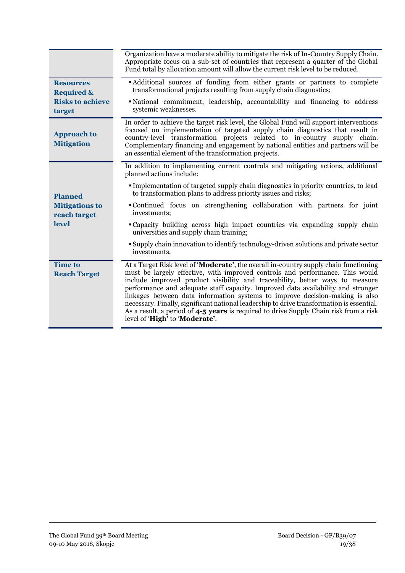|                                           | Organization have a moderate ability to mitigate the risk of In-Country Supply Chain.<br>Appropriate focus on a sub-set of countries that represent a quarter of the Global<br>Fund total by allocation amount will allow the current risk level to be reduced.                                                                                                                                                                                                                                                                                                                                                                                    |
|-------------------------------------------|----------------------------------------------------------------------------------------------------------------------------------------------------------------------------------------------------------------------------------------------------------------------------------------------------------------------------------------------------------------------------------------------------------------------------------------------------------------------------------------------------------------------------------------------------------------------------------------------------------------------------------------------------|
| <b>Resources</b><br><b>Required &amp;</b> | • Additional sources of funding from either grants or partners to complete<br>transformational projects resulting from supply chain diagnostics;                                                                                                                                                                                                                                                                                                                                                                                                                                                                                                   |
| <b>Risks to achieve</b><br>target         | • National commitment, leadership, accountability and financing to address<br>systemic weaknesses.                                                                                                                                                                                                                                                                                                                                                                                                                                                                                                                                                 |
| <b>Approach to</b><br><b>Mitigation</b>   | In order to achieve the target risk level, the Global Fund will support interventions<br>focused on implementation of targeted supply chain diagnostics that result in<br>country-level transformation projects related to in-country supply chain.<br>Complementary financing and engagement by national entities and partners will be<br>an essential element of the transformation projects.                                                                                                                                                                                                                                                    |
|                                           | In addition to implementing current controls and mitigating actions, additional<br>planned actions include:                                                                                                                                                                                                                                                                                                                                                                                                                                                                                                                                        |
| <b>Planned</b>                            | • Implementation of targeted supply chain diagnostics in priority countries, to lead<br>to transformation plans to address priority issues and risks;                                                                                                                                                                                                                                                                                                                                                                                                                                                                                              |
| <b>Mitigations to</b><br>reach target     | • Continued focus on strengthening collaboration with partners for joint<br>investments;                                                                                                                                                                                                                                                                                                                                                                                                                                                                                                                                                           |
| level                                     | "Capacity building across high impact countries via expanding supply chain<br>universities and supply chain training;                                                                                                                                                                                                                                                                                                                                                                                                                                                                                                                              |
|                                           | <b>Supply chain innovation to identify technology-driven solutions and private sector</b><br>investments.                                                                                                                                                                                                                                                                                                                                                                                                                                                                                                                                          |
| <b>Time to</b><br><b>Reach Target</b>     | At a Target Risk level of 'Moderate', the overall in-country supply chain functioning<br>must be largely effective, with improved controls and performance. This would<br>include improved product visibility and traceability, better ways to measure<br>performance and adequate staff capacity. Improved data availability and stronger<br>linkages between data information systems to improve decision-making is also<br>necessary. Finally, significant national leadership to drive transformation is essential.<br>As a result, a period of 4-5 years is required to drive Supply Chain risk from a risk<br>level of 'High' to 'Moderate'. |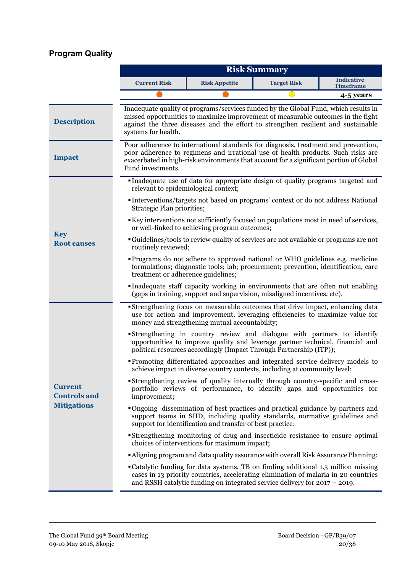# **Program Quality**

|                                       |                                                                                                                                                                                                                                 |                                                                                                                                                                                                                                                                  | <b>Risk Summary</b> |                                       |  |
|---------------------------------------|---------------------------------------------------------------------------------------------------------------------------------------------------------------------------------------------------------------------------------|------------------------------------------------------------------------------------------------------------------------------------------------------------------------------------------------------------------------------------------------------------------|---------------------|---------------------------------------|--|
|                                       | <b>Current Risk</b>                                                                                                                                                                                                             | <b>Risk Appetite</b>                                                                                                                                                                                                                                             | <b>Target Risk</b>  | <b>Indicative</b><br><b>Timeframe</b> |  |
|                                       |                                                                                                                                                                                                                                 |                                                                                                                                                                                                                                                                  |                     | 4-5 years                             |  |
| <b>Description</b>                    | systems for health.                                                                                                                                                                                                             | Inadequate quality of programs/services funded by the Global Fund, which results in<br>missed opportunities to maximize improvement of measurable outcomes in the fight<br>against the three diseases and the effort to strengthen resilient and sustainable     |                     |                                       |  |
| <b>Impact</b>                         | Fund investments.                                                                                                                                                                                                               | Poor adherence to international standards for diagnosis, treatment and prevention,<br>poor adherence to regimens and irrational use of health products. Such risks are<br>exacerbated in high-risk environments that account for a significant portion of Global |                     |                                       |  |
|                                       | relevant to epidemiological context;                                                                                                                                                                                            | Inadequate use of data for appropriate design of quality programs targeted and<br>Interventions/targets not based on programs' context or do not address National                                                                                                |                     |                                       |  |
|                                       | Strategic Plan priorities;                                                                                                                                                                                                      | Key interventions not sufficiently focused on populations most in need of services,<br>or well-linked to achieving program outcomes;                                                                                                                             |                     |                                       |  |
| <b>Key</b><br><b>Root causes</b>      | • Guidelines/tools to review quality of services are not available or programs are not<br>routinely reviewed;                                                                                                                   |                                                                                                                                                                                                                                                                  |                     |                                       |  |
|                                       | "Programs do not adhere to approved national or WHO guidelines e.g. medicine<br>formulations; diagnostic tools; lab; procurement; prevention, identification, care<br>treatment or adherence guidelines;                        |                                                                                                                                                                                                                                                                  |                     |                                       |  |
|                                       | Inadequate staff capacity working in environments that are often not enabling<br>(gaps in training, support and supervision, misaligned incentives, etc).                                                                       |                                                                                                                                                                                                                                                                  |                     |                                       |  |
|                                       | "Strengthening focus on measurable outcomes that drive impact, enhancing data<br>use for action and improvement, leveraging efficiencies to maximize value for<br>money and strengthening mutual accountability;                |                                                                                                                                                                                                                                                                  |                     |                                       |  |
|                                       | Strengthening in country review and dialogue with partners to identify<br>opportunities to improve quality and leverage partner technical, financial and<br>political resources accordingly (Impact Through Partnership (ITP)); |                                                                                                                                                                                                                                                                  |                     |                                       |  |
|                                       |                                                                                                                                                                                                                                 | "Promoting differentiated approaches and integrated service delivery models to<br>achieve impact in diverse country contexts, including at community level;                                                                                                      |                     |                                       |  |
| <b>Current</b><br><b>Controls and</b> | <b>Strengthening review of quality internally through country-specific and cross-</b><br>portfolio reviews of performance, to identify gaps and opportunities for<br>improvement;                                               |                                                                                                                                                                                                                                                                  |                     |                                       |  |
| <b>Mitigations</b>                    |                                                                                                                                                                                                                                 | • Ongoing dissemination of best practices and practical guidance by partners and<br>support teams in SIID, including quality standards, normative guidelines and<br>support for identification and transfer of best practice;                                    |                     |                                       |  |
|                                       |                                                                                                                                                                                                                                 | Strengthening monitoring of drug and insecticide resistance to ensure optimal<br>choices of interventions for maximum impact;                                                                                                                                    |                     |                                       |  |
|                                       |                                                                                                                                                                                                                                 | <b>Aligning program and data quality assurance with overall Risk Assurance Planning;</b>                                                                                                                                                                         |                     |                                       |  |
|                                       |                                                                                                                                                                                                                                 | • Catalytic funding for data systems, TB on finding additional 1.5 million missing<br>cases in 13 priority countries, accelerating elimination of malaria in 20 countries<br>and RSSH catalytic funding on integrated service delivery for $2017 - 2019$ .       |                     |                                       |  |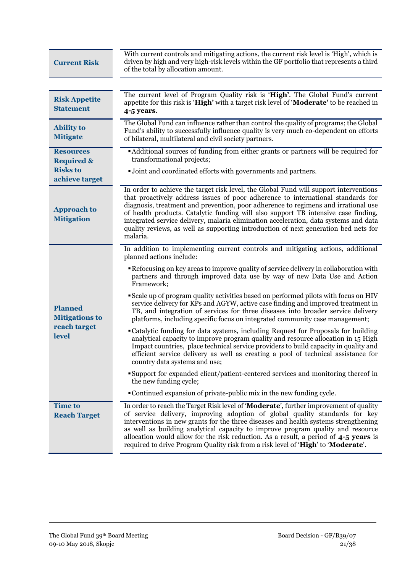| <b>Current Risk</b>                       | With current controls and mitigating actions, the current risk level is 'High', which is<br>driven by high and very high-risk levels within the GF portfolio that represents a third<br>of the total by allocation amount.                                                                                                                                                                                                                                                                                                                       |
|-------------------------------------------|--------------------------------------------------------------------------------------------------------------------------------------------------------------------------------------------------------------------------------------------------------------------------------------------------------------------------------------------------------------------------------------------------------------------------------------------------------------------------------------------------------------------------------------------------|
|                                           |                                                                                                                                                                                                                                                                                                                                                                                                                                                                                                                                                  |
| <b>Risk Appetite</b><br><b>Statement</b>  | The current level of Program Quality risk is 'High'. The Global Fund's current<br>appetite for this risk is 'High' with a target risk level of 'Moderate' to be reached in<br>4-5 years.                                                                                                                                                                                                                                                                                                                                                         |
| <b>Ability to</b><br><b>Mitigate</b>      | The Global Fund can influence rather than control the quality of programs; the Global<br>Fund's ability to successfully influence quality is very much co-dependent on efforts<br>of bilateral, multilateral and civil society partners.                                                                                                                                                                                                                                                                                                         |
| <b>Resources</b><br><b>Required &amp;</b> | "Additional sources of funding from either grants or partners will be required for<br>transformational projects;                                                                                                                                                                                                                                                                                                                                                                                                                                 |
| <b>Risks to</b><br>achieve target         | •Joint and coordinated efforts with governments and partners.                                                                                                                                                                                                                                                                                                                                                                                                                                                                                    |
| <b>Approach to</b><br><b>Mitigation</b>   | In order to achieve the target risk level, the Global Fund will support interventions<br>that proactively address issues of poor adherence to international standards for<br>diagnosis, treatment and prevention, poor adherence to regimens and irrational use<br>of health products. Catalytic funding will also support TB intensive case finding,<br>integrated service delivery, malaria elimination acceleration, data systems and data<br>quality reviews, as well as supporting introduction of next generation bed nets for<br>malaria. |
|                                           | In addition to implementing current controls and mitigating actions, additional<br>planned actions include:                                                                                                                                                                                                                                                                                                                                                                                                                                      |
|                                           | Refocusing on key areas to improve quality of service delivery in collaboration with<br>partners and through improved data use by way of new Data Use and Action<br>Framework;                                                                                                                                                                                                                                                                                                                                                                   |
| <b>Planned</b><br><b>Mitigations to</b>   | • Scale up of program quality activities based on performed pilots with focus on HIV<br>service delivery for KPs and AGYW, active case finding and improved treatment in<br>TB, and integration of services for three diseases into broader service delivery<br>platforms, including specific focus on integrated community case management;                                                                                                                                                                                                     |
| reach target<br>level                     | "Catalytic funding for data systems, including Request for Proposals for building<br>analytical capacity to improve program quality and resource allocation in 15 High<br>Impact countries, place technical service providers to build capacity in quality and<br>efficient service delivery as well as creating a pool of technical assistance for<br>country data systems and use;                                                                                                                                                             |
|                                           | Support for expanded client/patient-centered services and monitoring thereof in<br>the new funding cycle;                                                                                                                                                                                                                                                                                                                                                                                                                                        |
|                                           | • Continued expansion of private-public mix in the new funding cycle.                                                                                                                                                                                                                                                                                                                                                                                                                                                                            |
| <b>Time to</b><br><b>Reach Target</b>     | In order to reach the Target Risk level of 'Moderate', further improvement of quality<br>of service delivery, improving adoption of global quality standards for key<br>interventions in new grants for the three diseases and health systems strengthening<br>as well as building analytical capacity to improve program quality and resource<br>allocation would allow for the risk reduction. As a result, a period of $4-5$ years is<br>required to drive Program Quality risk from a risk level of 'High' to 'Moderate'.                    |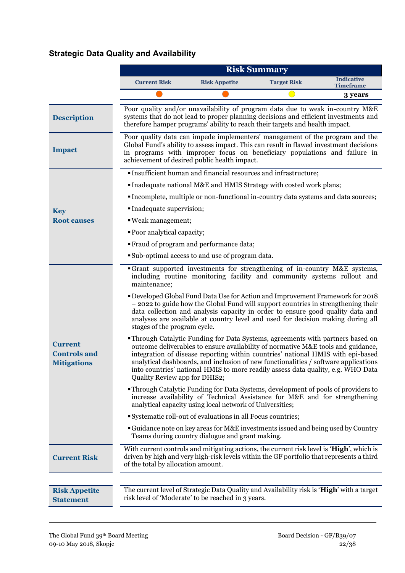# **Strategic Data Quality and Availability**

|                                                             |                                                                     |                                                                                                                                                                                                                                                                                                                                                                                                                                        | <b>Risk Summary</b> |                                       |
|-------------------------------------------------------------|---------------------------------------------------------------------|----------------------------------------------------------------------------------------------------------------------------------------------------------------------------------------------------------------------------------------------------------------------------------------------------------------------------------------------------------------------------------------------------------------------------------------|---------------------|---------------------------------------|
|                                                             | <b>Current Risk</b>                                                 | <b>Risk Appetite</b>                                                                                                                                                                                                                                                                                                                                                                                                                   | <b>Target Risk</b>  | <b>Indicative</b><br><b>Timeframe</b> |
|                                                             |                                                                     |                                                                                                                                                                                                                                                                                                                                                                                                                                        |                     | 3 years                               |
| <b>Description</b>                                          |                                                                     | Poor quality and/or unavailability of program data due to weak in-country M&E<br>systems that do not lead to proper planning decisions and efficient investments and<br>therefore hamper programs' ability to reach their targets and health impact.                                                                                                                                                                                   |                     |                                       |
| <b>Impact</b>                                               |                                                                     | Poor quality data can impede implementers' management of the program and the<br>Global Fund's ability to assess impact. This can result in flawed investment decisions<br>in programs with improper focus on beneficiary populations and failure in<br>achievement of desired public health impact.                                                                                                                                    |                     |                                       |
|                                                             |                                                                     | . Insufficient human and financial resources and infrastructure;                                                                                                                                                                                                                                                                                                                                                                       |                     |                                       |
|                                                             | • Inadequate national M&E and HMIS Strategy with costed work plans; |                                                                                                                                                                                                                                                                                                                                                                                                                                        |                     |                                       |
|                                                             |                                                                     | "Incomplete, multiple or non-functional in-country data systems and data sources;                                                                                                                                                                                                                                                                                                                                                      |                     |                                       |
| <b>Key</b>                                                  | Inadequate supervision;                                             |                                                                                                                                                                                                                                                                                                                                                                                                                                        |                     |                                       |
| <b>Root causes</b>                                          | ■ Weak management;                                                  |                                                                                                                                                                                                                                                                                                                                                                                                                                        |                     |                                       |
|                                                             | • Poor analytical capacity;                                         |                                                                                                                                                                                                                                                                                                                                                                                                                                        |                     |                                       |
|                                                             |                                                                     | • Fraud of program and performance data;                                                                                                                                                                                                                                                                                                                                                                                               |                     |                                       |
|                                                             |                                                                     | • Sub-optimal access to and use of program data.                                                                                                                                                                                                                                                                                                                                                                                       |                     |                                       |
|                                                             | maintenance;                                                        | •Grant supported investments for strengthening of in-country M&E systems,<br>including routine monitoring facility and community systems rollout and                                                                                                                                                                                                                                                                                   |                     |                                       |
|                                                             | stages of the program cycle.                                        | <b>• Developed Global Fund Data Use for Action and Improvement Framework for 2018</b><br>- 2022 to guide how the Global Fund will support countries in strengthening their<br>data collection and analysis capacity in order to ensure good quality data and<br>analyses are available at country level and used for decision making during all                                                                                        |                     |                                       |
| <b>Current</b><br><b>Controls and</b><br><b>Mitigations</b> | Quality Review app for DHIS2;                                       | <b>Through Catalytic Funding for Data Systems, agreements with partners based on</b><br>outcome deliverables to ensure availability of normative M&E tools and guidance,<br>integration of disease reporting within countries' national HMIS with epi-based<br>analytical dashboards, and inclusion of new functionalities / software applications<br>into countries' national HMIS to more readily assess data quality, e.g. WHO Data |                     |                                       |
|                                                             |                                                                     | "Through Catalytic Funding for Data Systems, development of pools of providers to<br>increase availability of Technical Assistance for M&E and for strengthening<br>analytical capacity using local network of Universities;                                                                                                                                                                                                           |                     |                                       |
|                                                             |                                                                     | Systematic roll-out of evaluations in all Focus countries;                                                                                                                                                                                                                                                                                                                                                                             |                     |                                       |
|                                                             |                                                                     | • Guidance note on key areas for M&E investments issued and being used by Country<br>Teams during country dialogue and grant making.                                                                                                                                                                                                                                                                                                   |                     |                                       |
| <b>Current Risk</b>                                         | of the total by allocation amount.                                  | With current controls and mitigating actions, the current risk level is 'High', which is<br>driven by high and very high-risk levels within the GF portfolio that represents a third                                                                                                                                                                                                                                                   |                     |                                       |
|                                                             |                                                                     |                                                                                                                                                                                                                                                                                                                                                                                                                                        |                     |                                       |
| <b>Risk Appetite</b><br><b>Statement</b>                    |                                                                     | The current level of Strategic Data Quality and Availability risk is 'High' with a target<br>risk level of 'Moderate' to be reached in 3 years.                                                                                                                                                                                                                                                                                        |                     |                                       |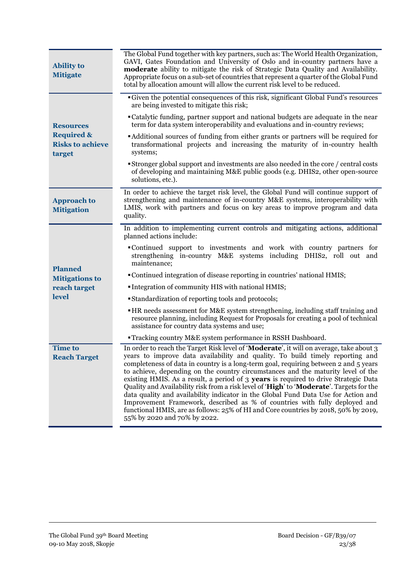| <b>Ability to</b><br><b>Mitigate</b>                       | The Global Fund together with key partners, such as: The World Health Organization,<br>GAVI, Gates Foundation and University of Oslo and in-country partners have a<br>moderate ability to mitigate the risk of Strategic Data Quality and Availability.<br>Appropriate focus on a sub-set of countries that represent a quarter of the Global Fund<br>total by allocation amount will allow the current risk level to be reduced.                                                                                                                                                                                                                                                                                                                                                                                                 |  |  |
|------------------------------------------------------------|------------------------------------------------------------------------------------------------------------------------------------------------------------------------------------------------------------------------------------------------------------------------------------------------------------------------------------------------------------------------------------------------------------------------------------------------------------------------------------------------------------------------------------------------------------------------------------------------------------------------------------------------------------------------------------------------------------------------------------------------------------------------------------------------------------------------------------|--|--|
|                                                            | Given the potential consequences of this risk, significant Global Fund's resources<br>are being invested to mitigate this risk;                                                                                                                                                                                                                                                                                                                                                                                                                                                                                                                                                                                                                                                                                                    |  |  |
| <b>Resources</b>                                           | • Catalytic funding, partner support and national budgets are adequate in the near<br>term for data system interoperability and evaluations and in-country reviews;                                                                                                                                                                                                                                                                                                                                                                                                                                                                                                                                                                                                                                                                |  |  |
| <b>Required &amp;</b><br><b>Risks to achieve</b><br>target | • Additional sources of funding from either grants or partners will be required for<br>transformational projects and increasing the maturity of in-country health<br>systems;                                                                                                                                                                                                                                                                                                                                                                                                                                                                                                                                                                                                                                                      |  |  |
|                                                            | <b>Stronger global support and investments are also needed in the core / central costs</b><br>of developing and maintaining M&E public goods (e.g. DHIS2, other open-source<br>solutions, etc.).                                                                                                                                                                                                                                                                                                                                                                                                                                                                                                                                                                                                                                   |  |  |
| <b>Approach to</b><br><b>Mitigation</b>                    | In order to achieve the target risk level, the Global Fund will continue support of<br>strengthening and maintenance of in-country M&E systems, interoperability with<br>LMIS, work with partners and focus on key areas to improve program and data<br>quality.                                                                                                                                                                                                                                                                                                                                                                                                                                                                                                                                                                   |  |  |
|                                                            | In addition to implementing current controls and mitigating actions, additional<br>planned actions include:                                                                                                                                                                                                                                                                                                                                                                                                                                                                                                                                                                                                                                                                                                                        |  |  |
|                                                            | • Continued support to investments and work with country partners for<br>strengthening in-country M&E systems including DHIS2, roll out and<br>maintenance;                                                                                                                                                                                                                                                                                                                                                                                                                                                                                                                                                                                                                                                                        |  |  |
| <b>Planned</b><br><b>Mitigations to</b>                    | • Continued integration of disease reporting in countries' national HMIS;                                                                                                                                                                                                                                                                                                                                                                                                                                                                                                                                                                                                                                                                                                                                                          |  |  |
| reach target                                               | • Integration of community HIS with national HMIS;                                                                                                                                                                                                                                                                                                                                                                                                                                                                                                                                                                                                                                                                                                                                                                                 |  |  |
| level                                                      | • Standardization of reporting tools and protocols;                                                                                                                                                                                                                                                                                                                                                                                                                                                                                                                                                                                                                                                                                                                                                                                |  |  |
|                                                            | • HR needs assessment for M&E system strengthening, including staff training and<br>resource planning, including Request for Proposals for creating a pool of technical<br>assistance for country data systems and use;                                                                                                                                                                                                                                                                                                                                                                                                                                                                                                                                                                                                            |  |  |
|                                                            | <b>Tracking country M&amp;E system performance in RSSH Dashboard.</b>                                                                                                                                                                                                                                                                                                                                                                                                                                                                                                                                                                                                                                                                                                                                                              |  |  |
| <b>Time to</b><br><b>Reach Target</b>                      | In order to reach the Target Risk level of 'Moderate', it will on average, take about 3<br>years to improve data availability and quality. To build timely reporting and<br>completeness of data in country is a long-term goal, requiring between 2 and 5 years<br>to achieve, depending on the country circumstances and the maturity level of the<br>existing HMIS. As a result, a period of 3 years is required to drive Strategic Data<br>Quality and Availability risk from a risk level of 'High' to 'Moderate'. Targets for the<br>data quality and availability indicator in the Global Fund Data Use for Action and<br>Improvement Framework, described as % of countries with fully deployed and<br>functional HMIS, are as follows: 25% of HI and Core countries by 2018, 50% by 2019,<br>55% by 2020 and 70% by 2022. |  |  |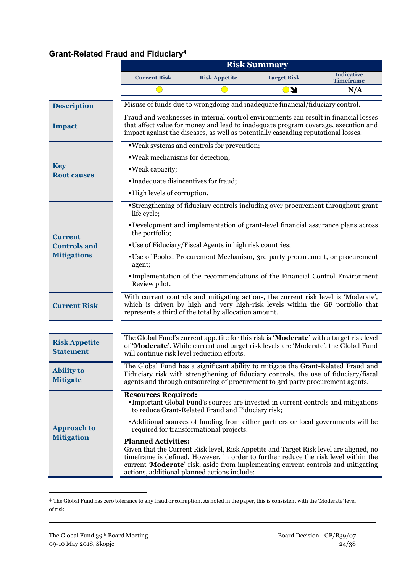# **Grant-Related Fraud and Fiduciary<sup>4</sup>**

|                                          | <b>Risk Summary</b>                                                                                                                                                                                                                                                                                                                              |                                                                                                                                                                                                                                                                  |                    |                                       |  |  |
|------------------------------------------|--------------------------------------------------------------------------------------------------------------------------------------------------------------------------------------------------------------------------------------------------------------------------------------------------------------------------------------------------|------------------------------------------------------------------------------------------------------------------------------------------------------------------------------------------------------------------------------------------------------------------|--------------------|---------------------------------------|--|--|
|                                          | <b>Current Risk</b>                                                                                                                                                                                                                                                                                                                              | <b>Risk Appetite</b>                                                                                                                                                                                                                                             | <b>Target Risk</b> | <b>Indicative</b><br><b>Timeframe</b> |  |  |
|                                          |                                                                                                                                                                                                                                                                                                                                                  |                                                                                                                                                                                                                                                                  | <b>N</b>           | N/A                                   |  |  |
| <b>Description</b>                       |                                                                                                                                                                                                                                                                                                                                                  | Misuse of funds due to wrongdoing and inadequate financial/fiduciary control.                                                                                                                                                                                    |                    |                                       |  |  |
| <b>Impact</b>                            |                                                                                                                                                                                                                                                                                                                                                  | Fraud and weaknesses in internal control environments can result in financial losses<br>that affect value for money and lead to inadequate program coverage, execution and<br>impact against the diseases, as well as potentially cascading reputational losses. |                    |                                       |  |  |
|                                          |                                                                                                                                                                                                                                                                                                                                                  | . Weak systems and controls for prevention;                                                                                                                                                                                                                      |                    |                                       |  |  |
|                                          | . Weak mechanisms for detection;                                                                                                                                                                                                                                                                                                                 |                                                                                                                                                                                                                                                                  |                    |                                       |  |  |
| <b>Key</b><br><b>Root causes</b>         | ■ Weak capacity;                                                                                                                                                                                                                                                                                                                                 |                                                                                                                                                                                                                                                                  |                    |                                       |  |  |
|                                          | • Inadequate disincentives for fraud;                                                                                                                                                                                                                                                                                                            |                                                                                                                                                                                                                                                                  |                    |                                       |  |  |
|                                          | . High levels of corruption.                                                                                                                                                                                                                                                                                                                     |                                                                                                                                                                                                                                                                  |                    |                                       |  |  |
|                                          | life cycle;                                                                                                                                                                                                                                                                                                                                      | Strengthening of fiduciary controls including over procurement throughout grant                                                                                                                                                                                  |                    |                                       |  |  |
| <b>Current</b>                           | <b>• Development and implementation of grant-level financial assurance plans across</b><br>the portfolio;                                                                                                                                                                                                                                        |                                                                                                                                                                                                                                                                  |                    |                                       |  |  |
| <b>Controls and</b>                      | ■ Use of Fiduciary/Fiscal Agents in high risk countries;                                                                                                                                                                                                                                                                                         |                                                                                                                                                                                                                                                                  |                    |                                       |  |  |
| <b>Mitigations</b>                       | "Use of Pooled Procurement Mechanism, 3rd party procurement, or procurement<br>agent;                                                                                                                                                                                                                                                            |                                                                                                                                                                                                                                                                  |                    |                                       |  |  |
|                                          | Review pilot.                                                                                                                                                                                                                                                                                                                                    | Implementation of the recommendations of the Financial Control Environment                                                                                                                                                                                       |                    |                                       |  |  |
| <b>Current Risk</b>                      |                                                                                                                                                                                                                                                                                                                                                  | With current controls and mitigating actions, the current risk level is 'Moderate',<br>which is driven by high and very high-risk levels within the GF portfolio that<br>represents a third of the total by allocation amount.                                   |                    |                                       |  |  |
|                                          |                                                                                                                                                                                                                                                                                                                                                  |                                                                                                                                                                                                                                                                  |                    |                                       |  |  |
| <b>Risk Appetite</b><br><b>Statement</b> | The Global Fund's current appetite for this risk is 'Moderate' with a target risk level<br>of 'Moderate'. While current and target risk levels are 'Moderate', the Global Fund<br>will continue risk level reduction efforts.                                                                                                                    |                                                                                                                                                                                                                                                                  |                    |                                       |  |  |
| <b>Ability to</b><br><b>Mitigate</b>     | The Global Fund has a significant ability to mitigate the Grant-Related Fraud and<br>Fiduciary risk with strengthening of fiduciary controls, the use of fiduciary/fiscal<br>agents and through outsourcing of procurement to 3rd party procurement agents.                                                                                      |                                                                                                                                                                                                                                                                  |                    |                                       |  |  |
|                                          | <b>Resources Required:</b>                                                                                                                                                                                                                                                                                                                       | <b>Important Global Fund's sources are invested in current controls and mitigations</b><br>to reduce Grant-Related Fraud and Fiduciary risk;                                                                                                                     |                    |                                       |  |  |
| <b>Approach to</b>                       | • Additional sources of funding from either partners or local governments will be<br>required for transformational projects.                                                                                                                                                                                                                     |                                                                                                                                                                                                                                                                  |                    |                                       |  |  |
| <b>Mitigation</b>                        | <b>Planned Activities:</b><br>Given that the Current Risk level, Risk Appetite and Target Risk level are aligned, no<br>time frame is defined. However, in order to further reduce the risk level within the<br>current 'Moderate' risk, aside from implementing current controls and mitigating<br>actions, additional planned actions include: |                                                                                                                                                                                                                                                                  |                    |                                       |  |  |

<sup>4</sup> The Global Fund has zero tolerance to any fraud or corruption. As noted in the paper, this is consistent with the 'Moderate' level of risk.

**.**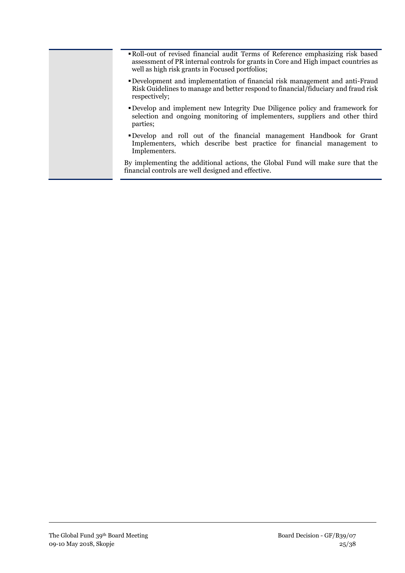- Roll-out of revised financial audit Terms of Reference emphasizing risk based assessment of PR internal controls for grants in Core and High impact countries as well as high risk grants in Focused portfolios;
- Development and implementation of financial risk management and anti-Fraud Risk Guidelines to manage and better respond to financial/fiduciary and fraud risk respectively;
- Develop and implement new Integrity Due Diligence policy and framework for selection and ongoing monitoring of implementers, suppliers and other third parties;
- Develop and roll out of the financial management Handbook for Grant Implementers, which describe best practice for financial management to Implementers.

By implementing the additional actions, the Global Fund will make sure that the financial controls are well designed and effective.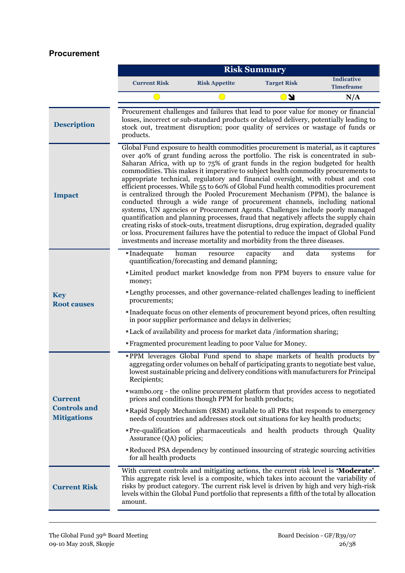#### **Procurement**

|                                                             |                                                                                                                                                                                                                                                                                                                                                                                                                                                                                                                                                                                                                                                                                                                                                                                                                                                                                                                                                                                                                                                                                                                                 | <b>Risk Summary</b>                                                                                                                                                                                                                                              |                                                                                                                                                                                                                                                                                                                                                                                                                                                                                                                                                                                                                                                                                          |                                       |  |  |
|-------------------------------------------------------------|---------------------------------------------------------------------------------------------------------------------------------------------------------------------------------------------------------------------------------------------------------------------------------------------------------------------------------------------------------------------------------------------------------------------------------------------------------------------------------------------------------------------------------------------------------------------------------------------------------------------------------------------------------------------------------------------------------------------------------------------------------------------------------------------------------------------------------------------------------------------------------------------------------------------------------------------------------------------------------------------------------------------------------------------------------------------------------------------------------------------------------|------------------------------------------------------------------------------------------------------------------------------------------------------------------------------------------------------------------------------------------------------------------|------------------------------------------------------------------------------------------------------------------------------------------------------------------------------------------------------------------------------------------------------------------------------------------------------------------------------------------------------------------------------------------------------------------------------------------------------------------------------------------------------------------------------------------------------------------------------------------------------------------------------------------------------------------------------------------|---------------------------------------|--|--|
|                                                             | <b>Current Risk</b>                                                                                                                                                                                                                                                                                                                                                                                                                                                                                                                                                                                                                                                                                                                                                                                                                                                                                                                                                                                                                                                                                                             | <b>Risk Appetite</b>                                                                                                                                                                                                                                             | <b>Target Risk</b>                                                                                                                                                                                                                                                                                                                                                                                                                                                                                                                                                                                                                                                                       | <b>Indicative</b><br><b>Timeframe</b> |  |  |
|                                                             |                                                                                                                                                                                                                                                                                                                                                                                                                                                                                                                                                                                                                                                                                                                                                                                                                                                                                                                                                                                                                                                                                                                                 |                                                                                                                                                                                                                                                                  | y J                                                                                                                                                                                                                                                                                                                                                                                                                                                                                                                                                                                                                                                                                      | N/A                                   |  |  |
| <b>Description</b>                                          | products.                                                                                                                                                                                                                                                                                                                                                                                                                                                                                                                                                                                                                                                                                                                                                                                                                                                                                                                                                                                                                                                                                                                       | Procurement challenges and failures that lead to poor value for money or financial<br>losses, incorrect or sub-standard products or delayed delivery, potentially leading to<br>stock out, treatment disruption; poor quality of services or wastage of funds or |                                                                                                                                                                                                                                                                                                                                                                                                                                                                                                                                                                                                                                                                                          |                                       |  |  |
| <b>Impact</b>                                               | Global Fund exposure to health commodities procurement is material, as it captures<br>over 40% of grant funding across the portfolio. The risk is concentrated in sub-<br>Saharan Africa, with up to 75% of grant funds in the region budgeted for health<br>commodities. This makes it imperative to subject health commodity procurements to<br>appropriate technical, regulatory and financial oversight, with robust and cost<br>efficient processes. While 55 to 60% of Global Fund health commodities procurement<br>is centralized through the Pooled Procurement Mechanism (PPM), the balance is<br>conducted through a wide range of procurement channels, including national<br>systems, UN agencies or Procurement Agents. Challenges include poorly managed<br>quantification and planning processes, fraud that negatively affects the supply chain<br>creating risks of stock-outs, treatment disruptions, drug expiration, degraded quality<br>or loss. Procurement failures have the potential to reduce the impact of Global Fund<br>investments and increase mortality and morbidity from the three diseases. |                                                                                                                                                                                                                                                                  |                                                                                                                                                                                                                                                                                                                                                                                                                                                                                                                                                                                                                                                                                          |                                       |  |  |
| <b>Key</b><br><b>Root causes</b>                            | ■Inadequate<br>human<br>money;<br>procurements;                                                                                                                                                                                                                                                                                                                                                                                                                                                                                                                                                                                                                                                                                                                                                                                                                                                                                                                                                                                                                                                                                 | resource<br>quantification/forecasting and demand planning;<br>in poor supplier performance and delays in deliveries;<br>"Fragmented procurement leading to poor Value for Money.                                                                                | and<br>data<br>capacity<br>"Limited product market knowledge from non PPM buyers to ensure value for<br>"Lengthy processes, and other governance-related challenges leading to inefficient<br>Inadequate focus on other elements of procurement beyond prices, often resulting<br>"Lack of availability and process for market data /information sharing;                                                                                                                                                                                                                                                                                                                                | for<br>systems                        |  |  |
| <b>Current</b><br><b>Controls and</b><br><b>Mitigations</b> | Recipients;<br>Assurance (QA) policies;<br>for all health products                                                                                                                                                                                                                                                                                                                                                                                                                                                                                                                                                                                                                                                                                                                                                                                                                                                                                                                                                                                                                                                              | prices and conditions though PPM for health products;                                                                                                                                                                                                            | "PPM leverages Global Fund spend to shape markets of health products by<br>aggregating order volumes on behalf of participating grants to negotiate best value,<br>lowest sustainable pricing and delivery conditions with manufacturers for Principal<br>"wambo.org - the online procurement platform that provides access to negotiated<br><b>Rapid Supply Mechanism (RSM) available to all PRs that responds to emergency</b><br>needs of countries and addresses stock out situations for key health products;<br><b>Pre-qualification of pharmaceuticals and health products through Quality</b><br>Reduced PSA dependency by continued insourcing of strategic sourcing activities |                                       |  |  |
| <b>Current Risk</b>                                         | amount.                                                                                                                                                                                                                                                                                                                                                                                                                                                                                                                                                                                                                                                                                                                                                                                                                                                                                                                                                                                                                                                                                                                         |                                                                                                                                                                                                                                                                  | With current controls and mitigating actions, the current risk level is 'Moderate'.<br>This aggregate risk level is a composite, which takes into account the variability of<br>risks by product category. The current risk level is driven by high and very high-risk<br>levels within the Global Fund portfolio that represents a fifth of the total by allocation                                                                                                                                                                                                                                                                                                                     |                                       |  |  |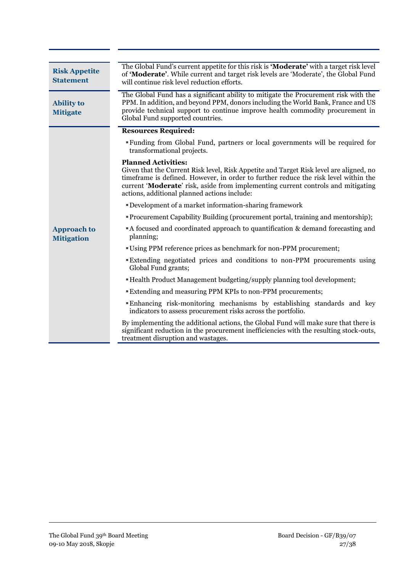| <b>Risk Appetite</b><br><b>Statement</b> | The Global Fund's current appetite for this risk is 'Moderate' with a target risk level<br>of 'Moderate'. While current and target risk levels are 'Moderate', the Global Fund<br>will continue risk level reduction efforts.                                                                                     |  |  |
|------------------------------------------|-------------------------------------------------------------------------------------------------------------------------------------------------------------------------------------------------------------------------------------------------------------------------------------------------------------------|--|--|
| <b>Ability to</b><br><b>Mitigate</b>     | The Global Fund has a significant ability to mitigate the Procurement risk with the<br>PPM. In addition, and beyond PPM, donors including the World Bank, France and US<br>provide technical support to continue improve health commodity procurement in<br>Global Fund supported countries.                      |  |  |
|                                          | <b>Resources Required:</b>                                                                                                                                                                                                                                                                                        |  |  |
|                                          | "Funding from Global Fund, partners or local governments will be required for<br>transformational projects.                                                                                                                                                                                                       |  |  |
|                                          | <b>Planned Activities:</b>                                                                                                                                                                                                                                                                                        |  |  |
| <b>Approach to</b><br><b>Mitigation</b>  | Given that the Current Risk level, Risk Appetite and Target Risk level are aligned, no<br>timeframe is defined. However, in order to further reduce the risk level within the<br>current 'Moderate' risk, aside from implementing current controls and mitigating<br>actions, additional planned actions include: |  |  |
|                                          | <b>• Development of a market information-sharing framework</b>                                                                                                                                                                                                                                                    |  |  |
|                                          | • Procurement Capability Building (procurement portal, training and mentorship);                                                                                                                                                                                                                                  |  |  |
|                                          | A focused and coordinated approach to quantification & demand forecasting and<br>planning;                                                                                                                                                                                                                        |  |  |
|                                          | "Using PPM reference prices as benchmark for non-PPM procurement;                                                                                                                                                                                                                                                 |  |  |
|                                          | Extending negotiated prices and conditions to non-PPM procurements using<br>Global Fund grants;                                                                                                                                                                                                                   |  |  |
|                                          | "Health Product Management budgeting/supply planning tool development;                                                                                                                                                                                                                                            |  |  |
|                                          | "Extending and measuring PPM KPIs to non-PPM procurements;                                                                                                                                                                                                                                                        |  |  |
|                                          | Enhancing risk-monitoring mechanisms by establishing standards and key<br>indicators to assess procurement risks across the portfolio.                                                                                                                                                                            |  |  |
|                                          | By implementing the additional actions, the Global Fund will make sure that there is<br>significant reduction in the procurement inefficiencies with the resulting stock-outs,<br>treatment disruption and wastages.                                                                                              |  |  |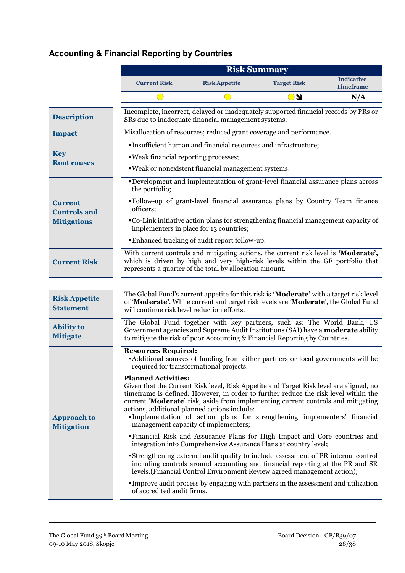# **Accounting & Financial Reporting by Countries**

|                                          | <b>Risk Summary</b>                                                                                                                                                                                                                            |                                                                                                                                                                                                                                                                                                                                                                                        |                    |                                       |  |
|------------------------------------------|------------------------------------------------------------------------------------------------------------------------------------------------------------------------------------------------------------------------------------------------|----------------------------------------------------------------------------------------------------------------------------------------------------------------------------------------------------------------------------------------------------------------------------------------------------------------------------------------------------------------------------------------|--------------------|---------------------------------------|--|
|                                          | <b>Current Risk</b>                                                                                                                                                                                                                            | <b>Risk Appetite</b>                                                                                                                                                                                                                                                                                                                                                                   | <b>Target Risk</b> | <b>Indicative</b><br><b>Timeframe</b> |  |
|                                          |                                                                                                                                                                                                                                                |                                                                                                                                                                                                                                                                                                                                                                                        | <b>KO</b>          | N/A                                   |  |
| <b>Description</b>                       |                                                                                                                                                                                                                                                | Incomplete, incorrect, delayed or inadequately supported financial records by PRs or<br>SRs due to inadequate financial management systems.                                                                                                                                                                                                                                            |                    |                                       |  |
| <b>Impact</b>                            |                                                                                                                                                                                                                                                | Misallocation of resources; reduced grant coverage and performance.                                                                                                                                                                                                                                                                                                                    |                    |                                       |  |
|                                          |                                                                                                                                                                                                                                                | · Insufficient human and financial resources and infrastructure;                                                                                                                                                                                                                                                                                                                       |                    |                                       |  |
| <b>Key</b><br><b>Root causes</b>         | . Weak financial reporting processes;                                                                                                                                                                                                          |                                                                                                                                                                                                                                                                                                                                                                                        |                    |                                       |  |
|                                          |                                                                                                                                                                                                                                                | . Weak or nonexistent financial management systems.                                                                                                                                                                                                                                                                                                                                    |                    |                                       |  |
|                                          | the portfolio;                                                                                                                                                                                                                                 | "Development and implementation of grant-level financial assurance plans across                                                                                                                                                                                                                                                                                                        |                    |                                       |  |
| <b>Current</b><br><b>Controls and</b>    | officers;                                                                                                                                                                                                                                      | • Follow-up of grant-level financial assurance plans by Country Team finance                                                                                                                                                                                                                                                                                                           |                    |                                       |  |
| <b>Mitigations</b>                       | implementers in place for 13 countries;                                                                                                                                                                                                        | • Co-Link initiative action plans for strengthening financial management capacity of                                                                                                                                                                                                                                                                                                   |                    |                                       |  |
|                                          |                                                                                                                                                                                                                                                | Enhanced tracking of audit report follow-up.                                                                                                                                                                                                                                                                                                                                           |                    |                                       |  |
| <b>Current Risk</b>                      | With current controls and mitigating actions, the current risk level is 'Moderate',<br>which is driven by high and very high-risk levels within the GF portfolio that<br>represents a quarter of the total by allocation amount.               |                                                                                                                                                                                                                                                                                                                                                                                        |                    |                                       |  |
|                                          |                                                                                                                                                                                                                                                |                                                                                                                                                                                                                                                                                                                                                                                        |                    |                                       |  |
| <b>Risk Appetite</b><br><b>Statement</b> | will continue risk level reduction efforts.                                                                                                                                                                                                    | The Global Fund's current appetite for this risk is 'Moderate' with a target risk level<br>of 'Moderate'. While current and target risk levels are 'Moderate', the Global Fund                                                                                                                                                                                                         |                    |                                       |  |
| <b>Ability to</b><br><b>Mitigate</b>     |                                                                                                                                                                                                                                                | The Global Fund together with key partners, such as: The World Bank, US<br>Government agencies and Supreme Audit Institutions (SAI) have a <b>moderate</b> ability<br>to mitigate the risk of poor Accounting & Financial Reporting by Countries.                                                                                                                                      |                    |                                       |  |
|                                          | <b>Resources Required:</b><br>required for transformational projects.                                                                                                                                                                          | • Additional sources of funding from either partners or local governments will be                                                                                                                                                                                                                                                                                                      |                    |                                       |  |
| <b>Approach to</b><br><b>Mitigation</b>  | <b>Planned Activities:</b><br>actions, additional planned actions include:                                                                                                                                                                     | Given that the Current Risk level, Risk Appetite and Target Risk level are aligned, no<br>time frame is defined. However, in order to further reduce the risk level within the<br>current 'Moderate' risk, aside from implementing current controls and mitigating<br>Implementation of action plans for strengthening implementers' financial<br>management capacity of implementers; |                    |                                       |  |
|                                          | "Financial Risk and Assurance Plans for High Impact and Core countries and<br>integration into Comprehensive Assurance Plans at country level;                                                                                                 |                                                                                                                                                                                                                                                                                                                                                                                        |                    |                                       |  |
|                                          | Strengthening external audit quality to include assessment of PR internal control<br>including controls around accounting and financial reporting at the PR and SR<br>levels. (Financial Control Environment Review agreed management action); |                                                                                                                                                                                                                                                                                                                                                                                        |                    |                                       |  |
|                                          | of accredited audit firms.                                                                                                                                                                                                                     | Improve audit process by engaging with partners in the assessment and utilization                                                                                                                                                                                                                                                                                                      |                    |                                       |  |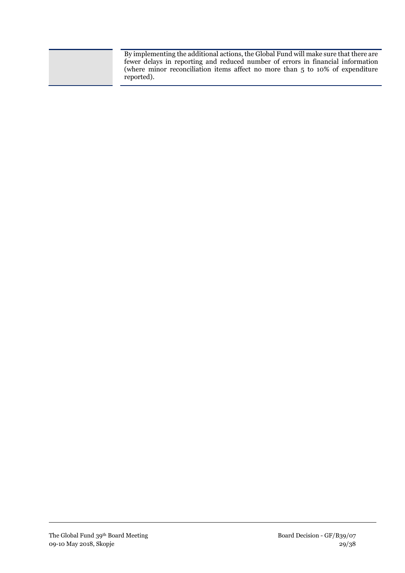By implementing the additional actions, the Global Fund will make sure that there are fewer delays in reporting and reduced number of errors in financial information (where minor reconciliation items affect no more than 5 to 10% of expenditure reported).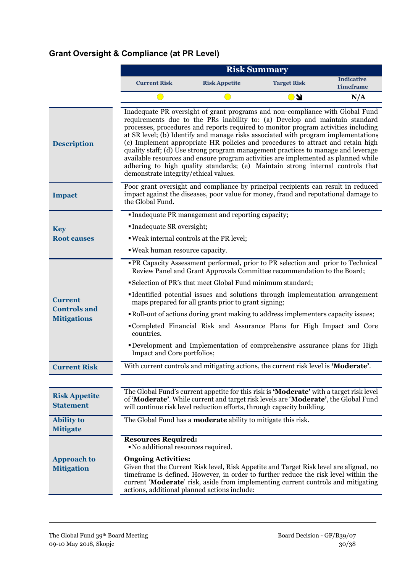# **Grant Oversight & Compliance (at PR Level)**

|                                           | <b>Risk Summary</b>                                                                                                                                                                                                                                                                                                                                                                                                                                                                                                                                                                                                                                                                                                               |                      |                    |                                       |  |
|-------------------------------------------|-----------------------------------------------------------------------------------------------------------------------------------------------------------------------------------------------------------------------------------------------------------------------------------------------------------------------------------------------------------------------------------------------------------------------------------------------------------------------------------------------------------------------------------------------------------------------------------------------------------------------------------------------------------------------------------------------------------------------------------|----------------------|--------------------|---------------------------------------|--|
|                                           | <b>Current Risk</b>                                                                                                                                                                                                                                                                                                                                                                                                                                                                                                                                                                                                                                                                                                               | <b>Risk Appetite</b> | <b>Target Risk</b> | <b>Indicative</b><br><b>Timeframe</b> |  |
|                                           |                                                                                                                                                                                                                                                                                                                                                                                                                                                                                                                                                                                                                                                                                                                                   |                      | <b>KO</b>          | N/A                                   |  |
| <b>Description</b>                        | Inadequate PR oversight of grant programs and non-compliance with Global Fund<br>requirements due to the PRs inability to: (a) Develop and maintain standard<br>processes, procedures and reports required to monitor program activities including<br>at SR level; (b) Identify and manage risks associated with program implementation;<br>(c) Implement appropriate HR policies and procedures to attract and retain high<br>quality staff; (d) Use strong program management practices to manage and leverage<br>available resources and ensure program activities are implemented as planned while<br>adhering to high quality standards; (e) Maintain strong internal controls that<br>demonstrate integrity/ethical values. |                      |                    |                                       |  |
| <b>Impact</b>                             | Poor grant oversight and compliance by principal recipients can result in reduced<br>impact against the diseases, poor value for money, fraud and reputational damage to<br>the Global Fund.                                                                                                                                                                                                                                                                                                                                                                                                                                                                                                                                      |                      |                    |                                       |  |
|                                           | • Inadequate PR management and reporting capacity;                                                                                                                                                                                                                                                                                                                                                                                                                                                                                                                                                                                                                                                                                |                      |                    |                                       |  |
| <b>Key</b>                                | Inadequate SR oversight;                                                                                                                                                                                                                                                                                                                                                                                                                                                                                                                                                                                                                                                                                                          |                      |                    |                                       |  |
| <b>Root causes</b>                        | . Weak internal controls at the PR level;                                                                                                                                                                                                                                                                                                                                                                                                                                                                                                                                                                                                                                                                                         |                      |                    |                                       |  |
|                                           | . Weak human resource capacity.                                                                                                                                                                                                                                                                                                                                                                                                                                                                                                                                                                                                                                                                                                   |                      |                    |                                       |  |
|                                           | <b>• PR Capacity Assessment performed, prior to PR selection and prior to Technical</b><br>Review Panel and Grant Approvals Committee recommendation to the Board;                                                                                                                                                                                                                                                                                                                                                                                                                                                                                                                                                                |                      |                    |                                       |  |
|                                           | Selection of PR's that meet Global Fund minimum standard;                                                                                                                                                                                                                                                                                                                                                                                                                                                                                                                                                                                                                                                                         |                      |                    |                                       |  |
| <b>Current</b>                            | Identified potential issues and solutions through implementation arrangement<br>maps prepared for all grants prior to grant signing;                                                                                                                                                                                                                                                                                                                                                                                                                                                                                                                                                                                              |                      |                    |                                       |  |
| <b>Controls and</b><br><b>Mitigations</b> | • Roll-out of actions during grant making to address implementers capacity issues;                                                                                                                                                                                                                                                                                                                                                                                                                                                                                                                                                                                                                                                |                      |                    |                                       |  |
|                                           | •Completed Financial Risk and Assurance Plans for High Impact and Core<br>countries.                                                                                                                                                                                                                                                                                                                                                                                                                                                                                                                                                                                                                                              |                      |                    |                                       |  |
|                                           | <b>•Development and Implementation of comprehensive assurance plans for High</b><br>Impact and Core portfolios;                                                                                                                                                                                                                                                                                                                                                                                                                                                                                                                                                                                                                   |                      |                    |                                       |  |
| <b>Current Risk</b>                       | With current controls and mitigating actions, the current risk level is 'Moderate'.                                                                                                                                                                                                                                                                                                                                                                                                                                                                                                                                                                                                                                               |                      |                    |                                       |  |
|                                           |                                                                                                                                                                                                                                                                                                                                                                                                                                                                                                                                                                                                                                                                                                                                   |                      |                    |                                       |  |
| <b>Risk Appetite</b><br><b>Statement</b>  | The Global Fund's current appetite for this risk is 'Moderate' with a target risk level<br>of 'Moderate'. While current and target risk levels are 'Moderate', the Global Fund<br>will continue risk level reduction efforts, through capacity building.                                                                                                                                                                                                                                                                                                                                                                                                                                                                          |                      |                    |                                       |  |
| <b>Ability</b> to<br><b>Mitigate</b>      | The Global Fund has a <b>moderate</b> ability to mitigate this risk.                                                                                                                                                                                                                                                                                                                                                                                                                                                                                                                                                                                                                                                              |                      |                    |                                       |  |
|                                           | <b>Resources Required:</b><br>• No additional resources required.                                                                                                                                                                                                                                                                                                                                                                                                                                                                                                                                                                                                                                                                 |                      |                    |                                       |  |
| <b>Approach to</b><br><b>Mitigation</b>   | <b>Ongoing Activities:</b><br>Given that the Current Risk level, Risk Appetite and Target Risk level are aligned, no<br>timeframe is defined. However, in order to further reduce the risk level within the<br>current 'Moderate' risk, aside from implementing current controls and mitigating<br>actions, additional planned actions include:                                                                                                                                                                                                                                                                                                                                                                                   |                      |                    |                                       |  |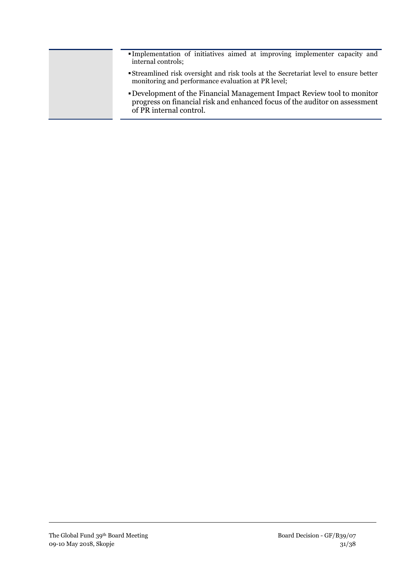- Implementation of initiatives aimed at improving implementer capacity and internal controls;
- Streamlined risk oversight and risk tools at the Secretariat level to ensure better monitoring and performance evaluation at PR level;
- Development of the Financial Management Impact Review tool to monitor progress on financial risk and enhanced focus of the auditor on assessment of PR internal control.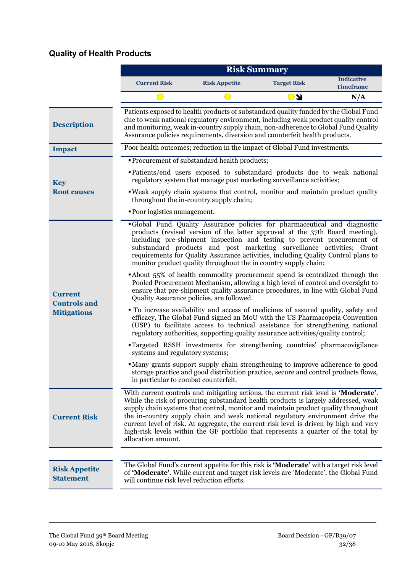## **Quality of Health Products**

|                                          | <b>Risk Summary</b>                                                                                                                                                                                                                                                                                                                                                                                                                                                                                                                                     |                                                                                                                                                                                                                                                                                                                                                                                                                                                                        |                    |                                       |  |
|------------------------------------------|---------------------------------------------------------------------------------------------------------------------------------------------------------------------------------------------------------------------------------------------------------------------------------------------------------------------------------------------------------------------------------------------------------------------------------------------------------------------------------------------------------------------------------------------------------|------------------------------------------------------------------------------------------------------------------------------------------------------------------------------------------------------------------------------------------------------------------------------------------------------------------------------------------------------------------------------------------------------------------------------------------------------------------------|--------------------|---------------------------------------|--|
|                                          | <b>Current Risk</b>                                                                                                                                                                                                                                                                                                                                                                                                                                                                                                                                     | <b>Risk Appetite</b>                                                                                                                                                                                                                                                                                                                                                                                                                                                   | <b>Target Risk</b> | <b>Indicative</b><br><b>Timeframe</b> |  |
|                                          |                                                                                                                                                                                                                                                                                                                                                                                                                                                                                                                                                         |                                                                                                                                                                                                                                                                                                                                                                                                                                                                        | O J                | N/A                                   |  |
| <b>Description</b>                       | Patients exposed to health products of substandard quality funded by the Global Fund<br>due to weak national regulatory environment, including weak product quality control<br>and monitoring, weak in-country supply chain, non-adherence to Global Fund Quality<br>Assurance policies requirements, diversion and counterfeit health products.                                                                                                                                                                                                        |                                                                                                                                                                                                                                                                                                                                                                                                                                                                        |                    |                                       |  |
| <b>Impact</b>                            |                                                                                                                                                                                                                                                                                                                                                                                                                                                                                                                                                         | Poor health outcomes; reduction in the impact of Global Fund investments.                                                                                                                                                                                                                                                                                                                                                                                              |                    |                                       |  |
| <b>Key</b>                               |                                                                                                                                                                                                                                                                                                                                                                                                                                                                                                                                                         | • Procurement of substandard health products;<br>• Patients/end users exposed to substandard products due to weak national<br>regulatory system that manage post marketing surveillance activities;                                                                                                                                                                                                                                                                    |                    |                                       |  |
| <b>Root causes</b>                       |                                                                                                                                                                                                                                                                                                                                                                                                                                                                                                                                                         | . Weak supply chain systems that control, monitor and maintain product quality<br>throughout the in-country supply chain;                                                                                                                                                                                                                                                                                                                                              |                    |                                       |  |
|                                          | • Poor logistics management.                                                                                                                                                                                                                                                                                                                                                                                                                                                                                                                            |                                                                                                                                                                                                                                                                                                                                                                                                                                                                        |                    |                                       |  |
|                                          |                                                                                                                                                                                                                                                                                                                                                                                                                                                                                                                                                         | •Global Fund Quality Assurance policies for pharmaceutical and diagnostic<br>products (revised version of the latter approved at the 37th Board meeting),<br>including pre-shipment inspection and testing to prevent procurement of<br>substandard products and post marketing surveillance activities; Grant<br>requirements for Quality Assurance activities, including Quality Control plans to<br>monitor product quality throughout the in country supply chain; |                    |                                       |  |
| <b>Current</b><br><b>Controls and</b>    | About 55% of health commodity procurement spend is centralized through the<br>Pooled Procurement Mechanism, allowing a high level of control and oversight to<br>ensure that pre-shipment quality assurance procedures, in line with Global Fund<br>Quality Assurance policies, are followed.                                                                                                                                                                                                                                                           |                                                                                                                                                                                                                                                                                                                                                                                                                                                                        |                    |                                       |  |
| <b>Mitigations</b>                       |                                                                                                                                                                                                                                                                                                                                                                                                                                                                                                                                                         | • To increase availability and access of medicines of assured quality, safety and<br>efficacy, The Global Fund signed an MoU with the US Pharmacopeia Convention<br>(USP) to facilitate access to technical assistance for strengthening national<br>regulatory authorities, supporting quality assurance activities/quality control;                                                                                                                                  |                    |                                       |  |
|                                          | systems and regulatory systems;                                                                                                                                                                                                                                                                                                                                                                                                                                                                                                                         | <b>Targeted RSSH</b> investments for strengthening countries' pharmacovigilance                                                                                                                                                                                                                                                                                                                                                                                        |                    |                                       |  |
|                                          | in particular to combat counterfeit.                                                                                                                                                                                                                                                                                                                                                                                                                                                                                                                    | • Many grants support supply chain strengthening to improve adherence to good<br>storage practice and good distribution practice, secure and control products flows,                                                                                                                                                                                                                                                                                                   |                    |                                       |  |
| <b>Current Risk</b>                      | With current controls and mitigating actions, the current risk level is 'Moderate'.<br>While the risk of procuring substandard health products is largely addressed, weak<br>supply chain systems that control, monitor and maintain product quality throughout<br>the in-country supply chain and weak national regulatory environment drive the<br>current level of risk. At aggregate, the current risk level is driven by high and very<br>high-risk levels within the GF portfolio that represents a quarter of the total by<br>allocation amount. |                                                                                                                                                                                                                                                                                                                                                                                                                                                                        |                    |                                       |  |
|                                          |                                                                                                                                                                                                                                                                                                                                                                                                                                                                                                                                                         |                                                                                                                                                                                                                                                                                                                                                                                                                                                                        |                    |                                       |  |
| <b>Risk Appetite</b><br><b>Statement</b> | will continue risk level reduction efforts.                                                                                                                                                                                                                                                                                                                                                                                                                                                                                                             | The Global Fund's current appetite for this risk is ' <b>Moderate'</b> with a target risk level<br>of 'Moderate'. While current and target risk levels are 'Moderate', the Global Fund                                                                                                                                                                                                                                                                                 |                    |                                       |  |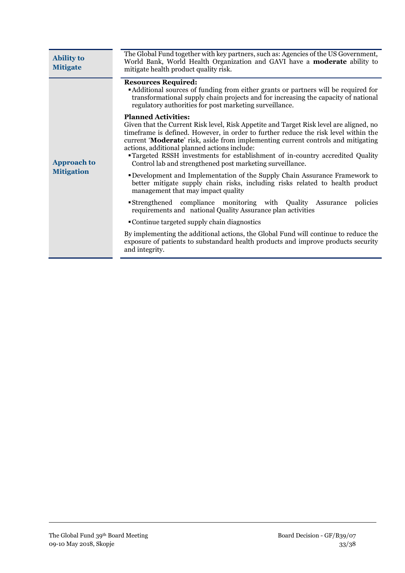| <b>Ability to</b><br><b>Mitigate</b>    | The Global Fund together with key partners, such as: Agencies of the US Government,<br>World Bank, World Health Organization and GAVI have a <b>moderate</b> ability to<br>mitigate health product quality risk.                                                                                                                                                                                                                                                                                                                                                                                                                                                                                                                                                                                                                                                                                                                                                                                                                                                                                  |  |  |
|-----------------------------------------|---------------------------------------------------------------------------------------------------------------------------------------------------------------------------------------------------------------------------------------------------------------------------------------------------------------------------------------------------------------------------------------------------------------------------------------------------------------------------------------------------------------------------------------------------------------------------------------------------------------------------------------------------------------------------------------------------------------------------------------------------------------------------------------------------------------------------------------------------------------------------------------------------------------------------------------------------------------------------------------------------------------------------------------------------------------------------------------------------|--|--|
|                                         | <b>Resources Required:</b><br>"Additional sources of funding from either grants or partners will be required for<br>transformational supply chain projects and for increasing the capacity of national<br>regulatory authorities for post marketing surveillance.                                                                                                                                                                                                                                                                                                                                                                                                                                                                                                                                                                                                                                                                                                                                                                                                                                 |  |  |
| <b>Approach to</b><br><b>Mitigation</b> | <b>Planned Activities:</b><br>Given that the Current Risk level, Risk Appetite and Target Risk level are aligned, no<br>time frame is defined. However, in order to further reduce the risk level within the<br>current 'Moderate' risk, aside from implementing current controls and mitigating<br>actions, additional planned actions include:<br>"Targeted RSSH investments for establishment of in-country accredited Quality<br>Control lab and strengthened post marketing surveillance.<br><b>• Development and Implementation of the Supply Chain Assurance Framework to</b><br>better mitigate supply chain risks, including risks related to health product<br>management that may impact quality<br>Strengthened compliance monitoring with Quality Assurance<br>policies<br>requirements and national Quality Assurance plan activities<br>• Continue targeted supply chain diagnostics<br>By implementing the additional actions, the Global Fund will continue to reduce the<br>exposure of patients to substandard health products and improve products security<br>and integrity. |  |  |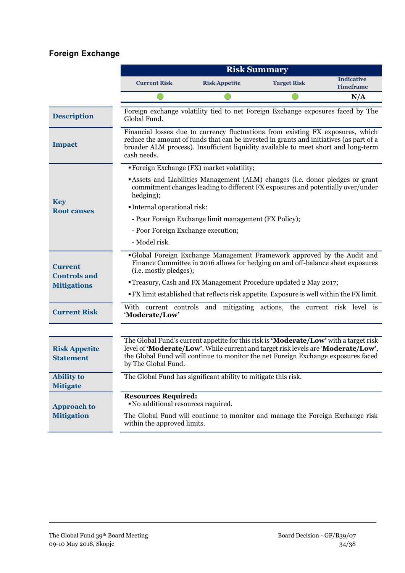## **Foreign Exchange**

|                                          | <b>Risk Summary</b>                                                                                                                                                                 |                                                                                                                                                                                                                                                                  |                    |                                       |  |
|------------------------------------------|-------------------------------------------------------------------------------------------------------------------------------------------------------------------------------------|------------------------------------------------------------------------------------------------------------------------------------------------------------------------------------------------------------------------------------------------------------------|--------------------|---------------------------------------|--|
|                                          | <b>Current Risk</b>                                                                                                                                                                 | <b>Risk Appetite</b>                                                                                                                                                                                                                                             | <b>Target Risk</b> | <b>Indicative</b><br><b>Timeframe</b> |  |
|                                          |                                                                                                                                                                                     |                                                                                                                                                                                                                                                                  |                    | N/A                                   |  |
| <b>Description</b>                       | Global Fund.                                                                                                                                                                        | Foreign exchange volatility tied to net Foreign Exchange exposures faced by The                                                                                                                                                                                  |                    |                                       |  |
| <b>Impact</b>                            | cash needs.                                                                                                                                                                         | Financial losses due to currency fluctuations from existing FX exposures, which<br>reduce the amount of funds that can be invested in grants and initiatives (as part of a<br>broader ALM process). Insufficient liquidity available to meet short and long-term |                    |                                       |  |
|                                          |                                                                                                                                                                                     | "Foreign Exchange (FX) market volatility;                                                                                                                                                                                                                        |                    |                                       |  |
|                                          | <b>Assets and Liabilities Management (ALM) changes (i.e. donor pledges or grant</b><br>commitment changes leading to different FX exposures and potentially over/under<br>hedging); |                                                                                                                                                                                                                                                                  |                    |                                       |  |
| <b>Key</b><br><b>Root causes</b>         | <b>Internal operational risk:</b>                                                                                                                                                   |                                                                                                                                                                                                                                                                  |                    |                                       |  |
|                                          | - Poor Foreign Exchange limit management (FX Policy);                                                                                                                               |                                                                                                                                                                                                                                                                  |                    |                                       |  |
|                                          | - Poor Foreign Exchange execution;                                                                                                                                                  |                                                                                                                                                                                                                                                                  |                    |                                       |  |
|                                          | - Model risk.                                                                                                                                                                       |                                                                                                                                                                                                                                                                  |                    |                                       |  |
| <b>Current</b><br><b>Controls and</b>    | (i.e. mostly pledges);                                                                                                                                                              | •Global Foreign Exchange Management Framework approved by the Audit and<br>Finance Committee in 2016 allows for hedging on and off-balance sheet exposures                                                                                                       |                    |                                       |  |
| <b>Mitigations</b>                       | "Treasury, Cash and FX Management Procedure updated 2 May 2017;                                                                                                                     |                                                                                                                                                                                                                                                                  |                    |                                       |  |
|                                          | • FX limit established that reflects risk appetite. Exposure is well within the FX limit.                                                                                           |                                                                                                                                                                                                                                                                  |                    |                                       |  |
| <b>Current Risk</b>                      | 'Moderate/Low'                                                                                                                                                                      | With current controls and mitigating actions, the current risk level is                                                                                                                                                                                          |                    |                                       |  |
|                                          |                                                                                                                                                                                     |                                                                                                                                                                                                                                                                  |                    |                                       |  |
| <b>Risk Appetite</b><br><b>Statement</b> | by The Global Fund.                                                                                                                                                                 | The Global Fund's current appetite for this risk is 'Moderate/Low' with a target risk<br>level of 'Moderate/Low'. While current and target risk levels are 'Moderate/Low',<br>the Global Fund will continue to monitor the net Foreign Exchange exposures faced  |                    |                                       |  |
| <b>Ability to</b><br><b>Mitigate</b>     |                                                                                                                                                                                     | The Global Fund has significant ability to mitigate this risk.                                                                                                                                                                                                   |                    |                                       |  |
| <b>Approach to</b>                       | <b>Resources Required:</b><br>■ No additional resources required.                                                                                                                   |                                                                                                                                                                                                                                                                  |                    |                                       |  |
| <b>Mitigation</b>                        | within the approved limits.                                                                                                                                                         | The Global Fund will continue to monitor and manage the Foreign Exchange risk                                                                                                                                                                                    |                    |                                       |  |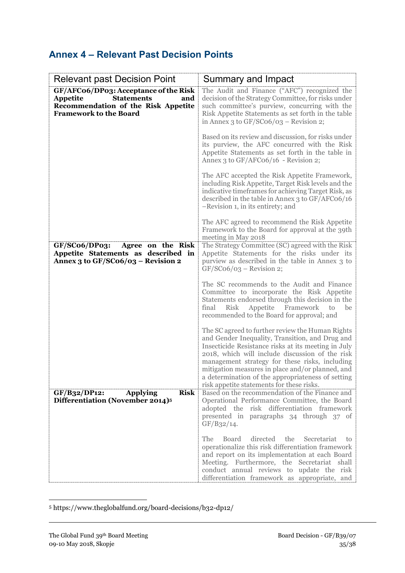## **Annex 4 – Relevant Past Decision Points**

| <b>Relevant past Decision Point</b>                                                                                                                   | <b>Summary and Impact</b>                                                                                                                                                                                                                                                                                                                                                                                             |
|-------------------------------------------------------------------------------------------------------------------------------------------------------|-----------------------------------------------------------------------------------------------------------------------------------------------------------------------------------------------------------------------------------------------------------------------------------------------------------------------------------------------------------------------------------------------------------------------|
| GF/AFC06/DP03: Acceptance of the Risk<br><b>Statements</b><br>Appetite<br>and<br>Recommendation of the Risk Appetite<br><b>Framework to the Board</b> | The Audit and Finance ("AFC") recognized the<br>decision of the Strategy Committee, for risks under<br>such committee's purview, concurring with the<br>Risk Appetite Statements as set forth in the table<br>in Annex 3 to $GF/SCo6/O3$ – Revision 2;                                                                                                                                                                |
|                                                                                                                                                       | Based on its review and discussion, for risks under<br>its purview, the AFC concurred with the Risk<br>Appetite Statements as set forth in the table in<br>Annex 3 to $GF/AFCo6/16$ - Revision 2;                                                                                                                                                                                                                     |
|                                                                                                                                                       | The AFC accepted the Risk Appetite Framework,<br>including Risk Appetite, Target Risk levels and the<br>indicative timeframes for achieving Target Risk, as<br>described in the table in Annex 3 to GF/AFC06/16<br>-Revision 1, in its entirety; and                                                                                                                                                                  |
|                                                                                                                                                       | The AFC agreed to recommend the Risk Appetite<br>Framework to the Board for approval at the 39th<br>meeting in May 2018                                                                                                                                                                                                                                                                                               |
| GF/SCo6/DPo3:<br>Agree on the Risk<br>Appetite Statements as described in<br>Annex 3 to GF/SCo6/03 - Revision 2                                       | The Strategy Committee (SC) agreed with the Risk<br>Appetite Statements for the risks under its<br>purview as described in the table in Annex 3 to<br>$GF/SCo6/O3 - Revision 2;$                                                                                                                                                                                                                                      |
|                                                                                                                                                       | The SC recommends to the Audit and Finance<br>Committee to incorporate the Risk Appetite<br>Statements endorsed through this decision in the<br>final<br>Risk<br>Appetite Framework<br>to<br>be<br>recommended to the Board for approval; and                                                                                                                                                                         |
|                                                                                                                                                       | The SC agreed to further review the Human Rights<br>and Gender Inequality, Transition, and Drug and<br>Insecticide Resistance risks at its meeting in July<br>2018, which will include discussion of the risk<br>management strategy for these risks, including<br>mitigation measures in place and/or planned, and<br>a determination of the appropriateness of setting<br>risk appetite statements for these risks. |
| <b>Risk</b><br>GF/B32/DP12:<br><b>Applying</b><br>Differentiation (November 2014) <sup>5</sup>                                                        | Based on the recommendation of the Finance and<br>Operational Performance Committee, the Board<br>adopted the risk differentiation framework<br>presented in paragraphs 34 through 37 of<br>GF/B32/14.                                                                                                                                                                                                                |
|                                                                                                                                                       | directed<br>the<br>The<br><b>Board</b><br>Secretariat<br>to<br>operationalize this risk differentiation framework<br>and report on its implementation at each Board<br>Meeting. Furthermore, the Secretariat shall<br>conduct annual reviews to update the risk<br>differentiation framework as appropriate, and                                                                                                      |

<sup>5</sup> https://www.theglobalfund.org/board-decisions/b32-dp12/

**.**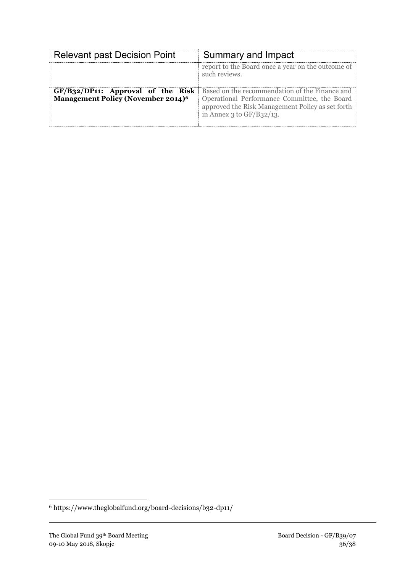| <b>Relevant past Decision Point</b>                                                          | Summary and Impact                                                                                                                                                                |
|----------------------------------------------------------------------------------------------|-----------------------------------------------------------------------------------------------------------------------------------------------------------------------------------|
|                                                                                              | report to the Board once a year on the outcome of<br>such reviews.                                                                                                                |
| $GF/B32/DP11$ : Approval of the Risk<br><b>Management Policy (November 2014)<sup>6</sup></b> | Based on the recommendation of the Finance and<br>Operational Performance Committee, the Board<br>approved the Risk Management Policy as set forth<br>in Annex 3 to $GF/B32/13$ . |

**.** 

<sup>6</sup> https://www.theglobalfund.org/board-decisions/b32-dp11/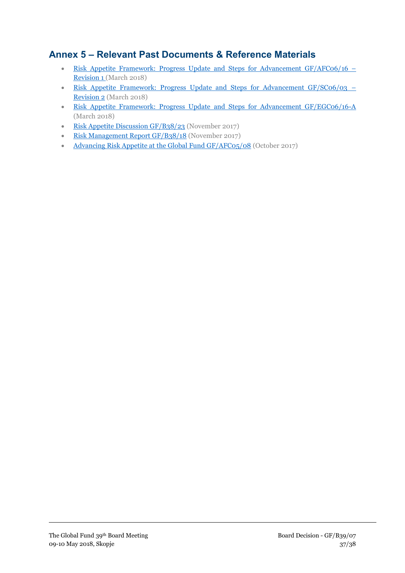## **Annex 5 – Relevant Past Documents & Reference Materials**

- Risk Appetite Framework: Progress Update and Steps for Advancement  $GF/AFCO6/16$  [Revision 1 \(March 2018\)](https://tgf.sharepoint.com/sites/TSOBA1/OBAS/Committees/Com_AFC/01%20-%20AFC%20Meetings/AFC06%20-%2027-29%20March%202018/00%20Working%20Documents/04%20Meeting%20Documents/16%20Risk%20Appetite%20Framework/GF-AFC06-16%20Risk%20Appetite%20Framework%20-%20Revision%201_Clean%20version.pdf)
- [Risk Appetite Framework: Progress Update and Steps for Advancement GF/SC06/03](https://tgf.sharepoint.com/sites/ESOBA1/GFBC/StrategyCommitteeSC/SC%20Meetings/6th%20SC%20Meeting%2020-22%20March%202018/6th%20Meeting%20Pre-Reads/GF%20SC06%2003_Report%20on%20Risk%20Appetite%20Framework.pdf) Revision 2 (March 2018)
- [Risk Appetite Framework: Progress Update and Steps for Advancement GF/EGC06/16-A](https://tgf.sharepoint.com/sites/ESOBA1/GFBC/EthicsandGovernanceCommitteeEGC/Meeting%20Documents/EGC06_Meeting%20Documents/Working%20Documents/GF-EGC06-16A%20%20Risk%20Appetite_(Sent).pdf) (March 2018)
- [Risk Appetite Discussion GF/B38/23](https://www.theglobalfund.org/media/7055/bm38_23-advancingriskappetite_report_en.pdf?u=636533758470000000) (November 2017)
- [Risk Management Report GF/B38/18 \(November 2017\)](https://www.theglobalfund.org/media/7050/bm38_18-riskmanagement_report_en.pdf?u=636494699020000000)
- [Advancing Risk Appetite at the Global Fund GF/AFC05/08](https://tgf.sharepoint.com/sites/ESOBA1/GFBC/AuditandFinanceCommitteeAFC/AFC%20Meetings/5th%20AFC%20meeting%203-5%20October%202017/Meeting%20documents/GF%20AFC05%2008%20Advancing%20Risk%20Appetite%20AFC%20Final.pdf) (October 2017)